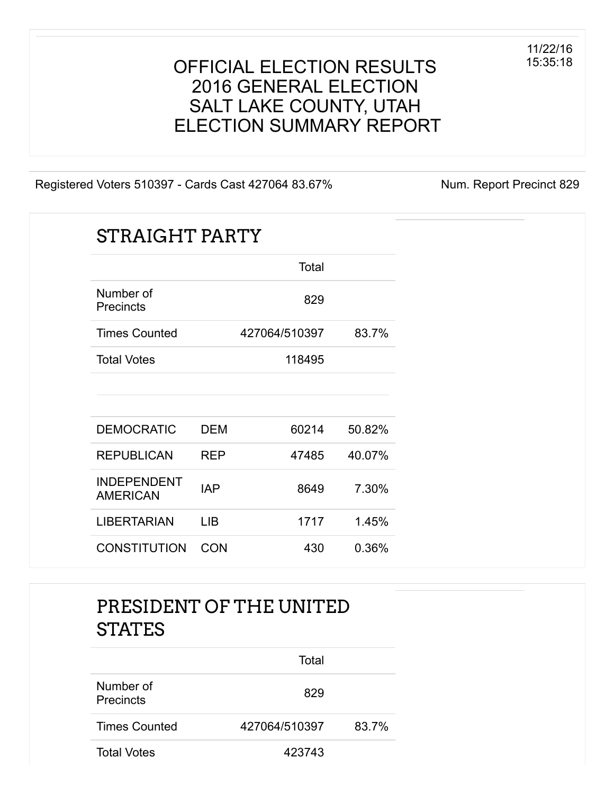#### OFFICIAL ELECTION RESULTS 2016 GENERAL ELECTION SALT LAKE COUNTY, UTAH ELECTION SUMMARY REPORT

Registered Voters 510397 - Cards Cast 427064 83.67% Num. Report Precinct 829

| <b>STRAIGHT PARTY</b>                 |            |               |        |
|---------------------------------------|------------|---------------|--------|
|                                       |            | Total         |        |
| Number of<br><b>Precincts</b>         |            | 829           |        |
| <b>Times Counted</b>                  |            | 427064/510397 | 83.7%  |
| <b>Total Votes</b>                    |            | 118495        |        |
|                                       |            |               |        |
| <b>DEMOCRATIC</b>                     | <b>DEM</b> | 60214         | 50.82% |
| <b>REPUBLICAN</b>                     | <b>REP</b> | 47485         | 40.07% |
| <b>INDEPENDENT</b><br><b>AMERICAN</b> | <b>IAP</b> | 8649          | 7.30%  |
| <b>LIBERTARIAN</b>                    | <b>LIB</b> | 1717          | 1.45%  |
| <b>CONSTITUTION</b>                   | <b>CON</b> | 430           | 0.36%  |

#### PRESIDENT OF THE UNITED **STATES**

|                        | Total         |       |
|------------------------|---------------|-------|
| Number of<br>Precincts | 829           |       |
| <b>Times Counted</b>   | 427064/510397 | 83.7% |
| <b>Total Votes</b>     | 423743        |       |

11/22/16 15:35:18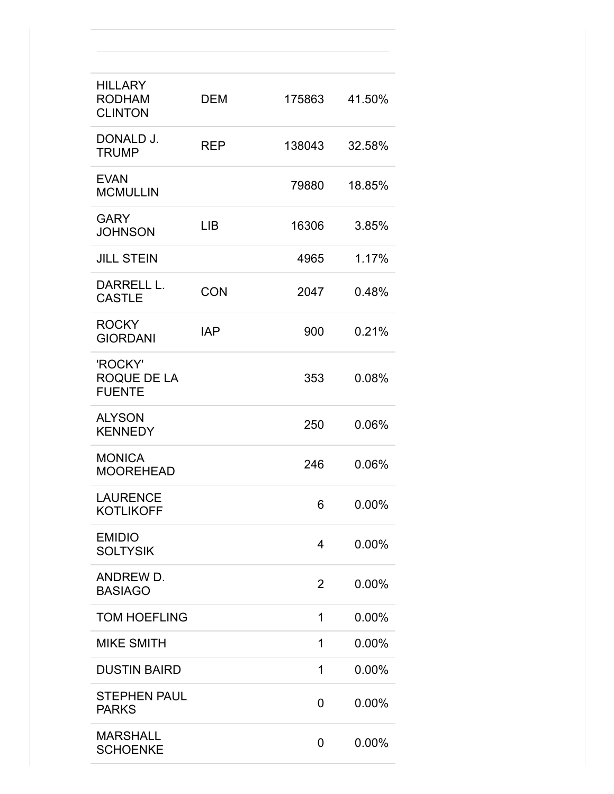| <b>HILLARY</b><br><b>RODHAM</b><br><b>CLINTON</b> | <b>DEM</b> | 175863 | 41.50% |
|---------------------------------------------------|------------|--------|--------|
| DONALD J.<br><b>TRUMP</b>                         | <b>REP</b> | 138043 | 32.58% |
| <b>EVAN</b><br><b>MCMULLIN</b>                    |            | 79880  | 18.85% |
| <b>GARY</b><br><b>JOHNSON</b>                     | <b>LIB</b> | 16306  | 3.85%  |
| <b>JILL STEIN</b>                                 |            | 4965   | 1.17%  |
| DARRELL L.<br>CASTLE                              | <b>CON</b> | 2047   | 0.48%  |
| <b>ROCKY</b><br><b>GIORDANI</b>                   | <b>IAP</b> | 900    | 0.21%  |
| 'ROCKY'<br>ROQUE DE LA<br><b>FUENTE</b>           |            | 353    | 0.08%  |
| <b>ALYSON</b><br><b>KENNEDY</b>                   |            | 250    | 0.06%  |
| <b>MONICA</b><br><b>MOOREHEAD</b>                 |            | 246    | 0.06%  |
| <b>LAURENCE</b><br><b>KOTLIKOFF</b>               |            | 6      | 0.00%  |
| <b>EMIDIO</b><br><b>SOLTYSIK</b>                  |            | 4      | 0.00%  |
| ANDREW D.<br><b>BASIAGO</b>                       |            | 2      | 0.00%  |
| <b>TOM HOEFLING</b>                               |            | 1      | 0.00%  |
| <b>MIKE SMITH</b>                                 |            | 1      | 0.00%  |
| <b>DUSTIN BAIRD</b>                               |            | 1      | 0.00%  |
| <b>STEPHEN PAUL</b><br><b>PARKS</b>               |            | 0      | 0.00%  |
| <b>MARSHALL</b><br><b>SCHOENKE</b>                |            | 0      | 0.00%  |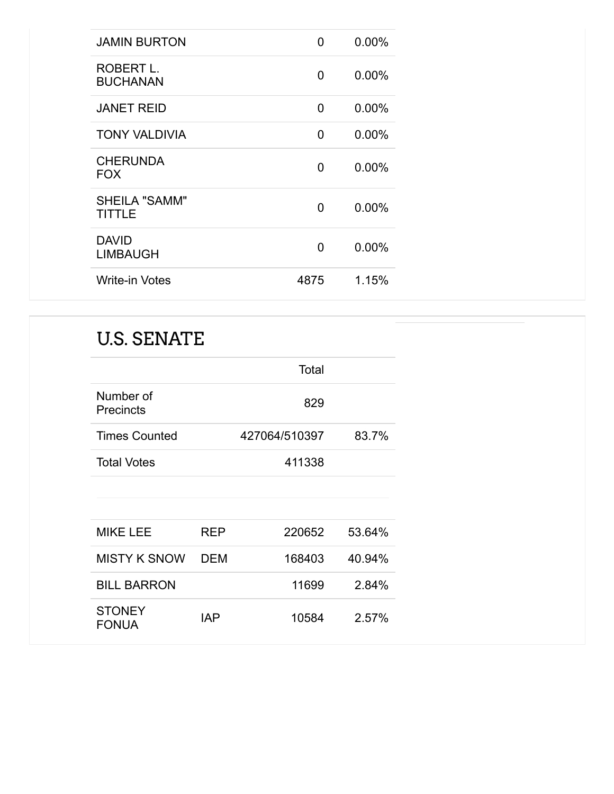| <b>JAMIN BURTON</b>                   | O    | $0.00\%$ |
|---------------------------------------|------|----------|
| ROBERT L.<br><b>BUCHANAN</b>          | 0    | 0.00%    |
| <b>JANET REID</b>                     | 0    | 0.00%    |
| <b>TONY VALDIVIA</b>                  | 0    | $0.00\%$ |
| <b>CHERUNDA</b><br><b>FOX</b>         | 0    | $0.00\%$ |
| <b>SHEILA "SAMM"</b><br><b>TITTLE</b> | 0    | 0.00%    |
| <b>DAVID</b><br><b>LIMBAUGH</b>       | 0    | $0.00\%$ |
| <b>Write-in Votes</b>                 | 4875 | 1.15%    |

### U.S. SENATE

|                               |     | Total         |        |
|-------------------------------|-----|---------------|--------|
| Number of<br><b>Precincts</b> |     | 829           |        |
| <b>Times Counted</b>          |     | 427064/510397 | 83.7%  |
| <b>Total Votes</b>            |     | 411338        |        |
|                               |     |               |        |
|                               |     |               |        |
| <b>MIKE LEE</b>               | REP | 220652        | 53.64% |
| <b>MISTY K SNOW</b>           | DEM | 168403        | 40.94% |
| <b>BILL BARRON</b>            |     | 11699         | 2.84%  |
| <b>STONEY</b><br>FONUA        | IAP | 10584         | 2.57%  |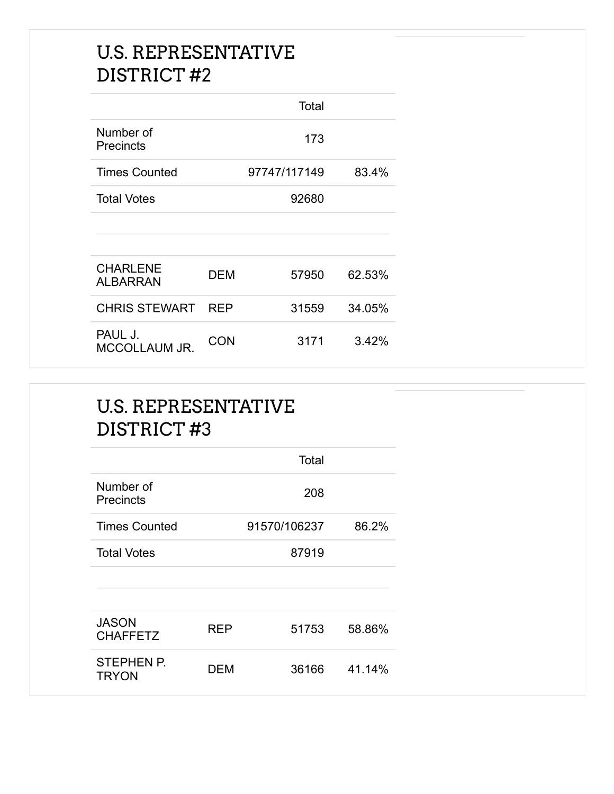#### U.S. REPRESENTATIVE DISTRICT #2

|                                 |     | Total        |        |
|---------------------------------|-----|--------------|--------|
| Number of<br>Precincts          |     | 173          |        |
| <b>Times Counted</b>            |     | 97747/117149 | 83.4%  |
| <b>Total Votes</b>              |     | 92680        |        |
|                                 |     |              |        |
|                                 |     |              |        |
| <b>CHARLENE</b><br>ALBARRAN     | DEM | 57950        | 62.53% |
| <b>CHRIS STEWART REP</b>        |     | 31559        | 34.05% |
| PAUL J.<br><b>MCCOLLAUM JR.</b> | CON | 3171         | 3.42%  |

#### U.S. REPRESENTATIVE DISTRICT #3

|                                   |     | Total        |        |
|-----------------------------------|-----|--------------|--------|
| Number of<br>Precincts            |     | 208          |        |
| <b>Times Counted</b>              |     | 91570/106237 | 86.2%  |
| <b>Total Votes</b>                |     | 87919        |        |
|                                   |     |              |        |
|                                   |     |              |        |
| <b>JASON</b><br><b>CHAFFETZ</b>   | RFP | 51753        | 58.86% |
| <b>STEPHEN P.</b><br><b>TRYON</b> | DEM | 36166        | 41.14% |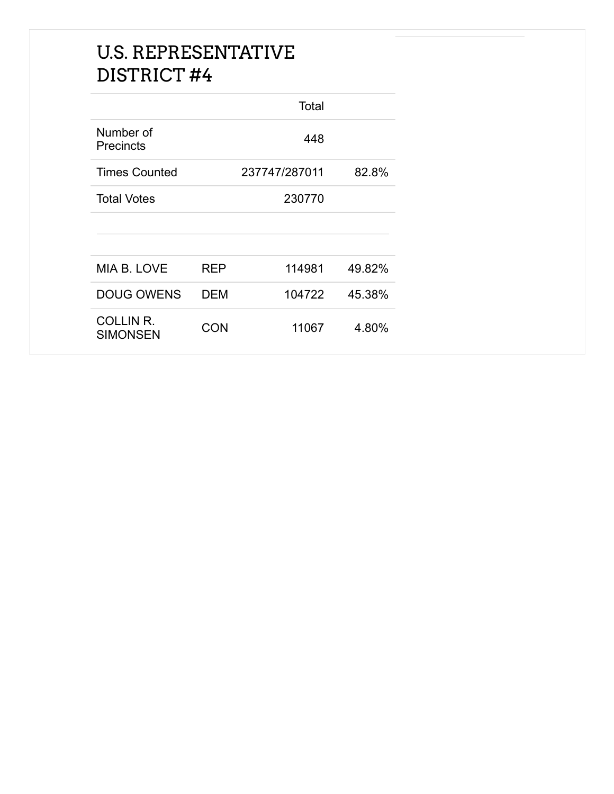#### U.S. REPRESENTATIVE DISTRICT #4

|                                     |     | Total         |        |
|-------------------------------------|-----|---------------|--------|
| Number of<br>Precincts              |     | 448           |        |
| <b>Times Counted</b>                |     | 237747/287011 | 82.8%  |
| <b>Total Votes</b>                  |     | 230770        |        |
|                                     |     |               |        |
|                                     |     |               |        |
| MIA B. LOVE                         | REP | 114981        | 49.82% |
| <b>DOUG OWENS</b>                   | DEM | 104722        | 45.38% |
| <b>COLLIN R.</b><br><b>SIMONSEN</b> | CON | 11067         | 4.80%  |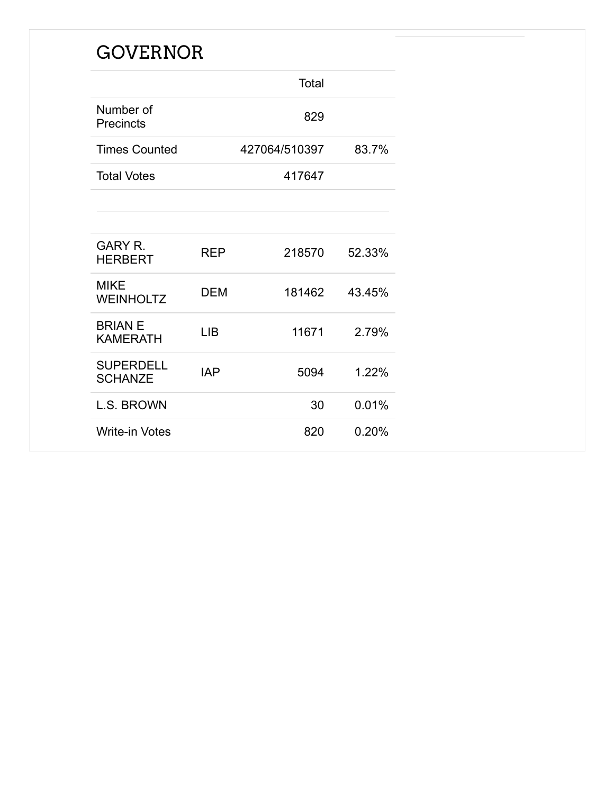### GOVERNOR

|                                    |            | Total         |        |
|------------------------------------|------------|---------------|--------|
| Number of<br>Precincts             |            | 829           |        |
| <b>Times Counted</b>               |            | 427064/510397 | 83.7%  |
| <b>Total Votes</b>                 |            | 417647        |        |
|                                    |            |               |        |
|                                    |            |               |        |
| <b>GARY R.</b><br><b>HERBERT</b>   | REP        | 218570        | 52.33% |
| <b>MIKE</b><br><b>WEINHOLTZ</b>    | DEM        | 181462        | 43.45% |
| <b>BRIAN E</b><br><b>KAMERATH</b>  | <b>LIB</b> | 11671         | 2.79%  |
| <b>SUPERDELL</b><br><b>SCHANZE</b> | IAP        | 5094          | 1.22%  |
| <b>L.S. BROWN</b>                  |            | 30            | 0.01%  |
| <b>Write-in Votes</b>              |            | 820           | 0.20%  |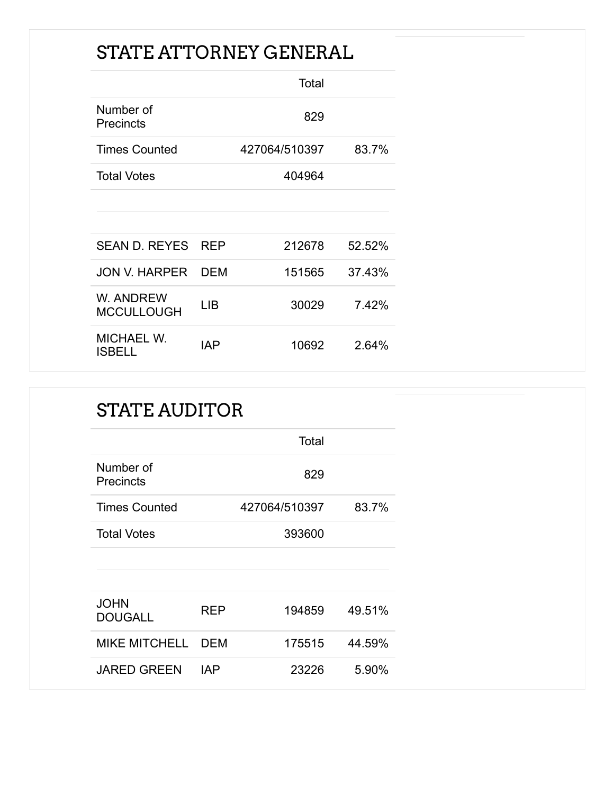### STATE ATTORNEY GENERAL

|                                |            | Total         |        |
|--------------------------------|------------|---------------|--------|
| Number of<br><b>Precincts</b>  |            | 829           |        |
| <b>Times Counted</b>           |            | 427064/510397 | 83.7%  |
| <b>Total Votes</b>             |            | 404964        |        |
|                                |            |               |        |
|                                |            |               |        |
| SEAN D. REYES                  | <b>REP</b> | 212678        | 52.52% |
| <b>JON V. HARPER</b>           | DEM        | 151565        | 37.43% |
| W. ANDREW<br><b>MCCULLOUGH</b> | LIB        | 30029         | 7.42%  |
| <b>MICHAEL W.</b><br>ISBELL    | IAP        | 10692         | 2.64%  |

#### STATE AUDITOR

|                               |            | Total         |        |
|-------------------------------|------------|---------------|--------|
| Number of<br>Precincts        |            | 829           |        |
| <b>Times Counted</b>          |            | 427064/510397 | 83.7%  |
| <b>Total Votes</b>            |            | 393600        |        |
|                               |            |               |        |
|                               |            |               |        |
| <b>JOHN</b><br><b>DOUGALL</b> | <b>REP</b> | 194859        | 49.51% |
| <b>MIKE MITCHELL</b>          | <b>DEM</b> | 175515        | 44.59% |
| <b>JARED GREEN</b>            | <b>IAP</b> | 23226         | 5.90%  |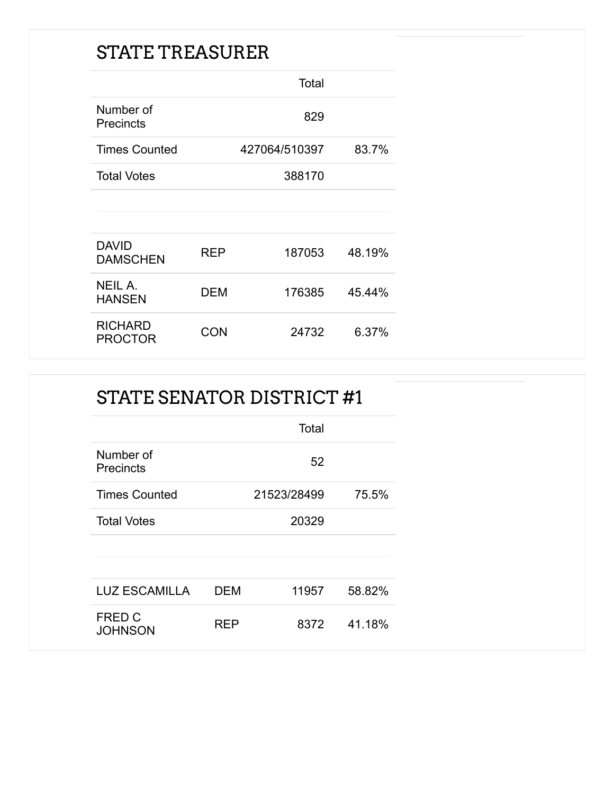### STATE TREASURER

|                                  |            | Total         |        |
|----------------------------------|------------|---------------|--------|
| Number of<br><b>Precincts</b>    |            | 829           |        |
| <b>Times Counted</b>             |            | 427064/510397 | 83.7%  |
| <b>Total Votes</b>               |            | 388170        |        |
|                                  |            |               |        |
| <b>DAVID</b><br><b>DAMSCHEN</b>  | <b>REP</b> | 187053        | 48.19% |
| <b>NEIL A.</b><br><b>HANSEN</b>  | DEM        | 176385        | 45.44% |
| <b>RICHARD</b><br><b>PROCTOR</b> | CON        | 24732         | 6.37%  |

| STATE SENATOR DISTRICT #1     |            |             |        |
|-------------------------------|------------|-------------|--------|
|                               |            | Total       |        |
| Number of<br><b>Precincts</b> |            | 52          |        |
| <b>Times Counted</b>          |            | 21523/28499 | 75.5%  |
| <b>Total Votes</b>            |            | 20329       |        |
| <b>LUZ ESCAMILLA</b>          | <b>DEM</b> | 11957       | 58.82% |
| FRED C<br><b>JOHNSON</b>      | <b>REP</b> | 8372        | 41.18% |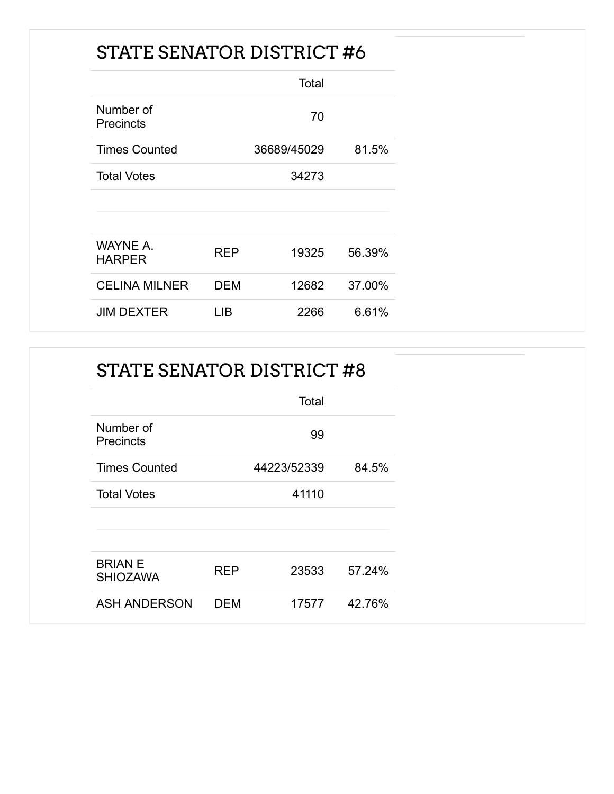### STATE SENATOR DISTRICT #6

|                               |      | Total       |        |
|-------------------------------|------|-------------|--------|
| Number of<br><b>Precincts</b> |      | 70          |        |
| <b>Times Counted</b>          |      | 36689/45029 | 81.5%  |
| <b>Total Votes</b>            |      | 34273       |        |
|                               |      |             |        |
|                               |      |             |        |
| WAYNE A.<br><b>HARPER</b>     | REP  | 19325       | 56.39% |
| <b>CELINA MILNER</b>          | DEM  | 12682       | 37.00% |
| JIM DEXTER                    | l IB | 2266        | 6.61%  |

### STATE SENATOR DISTRICT #8

|                                   |            | Total       |        |
|-----------------------------------|------------|-------------|--------|
| Number of<br><b>Precincts</b>     |            | 99          |        |
| <b>Times Counted</b>              |            | 44223/52339 | 84.5%  |
| <b>Total Votes</b>                |            | 41110       |        |
|                                   |            |             |        |
| <b>BRIAN E</b><br><b>SHIOZAWA</b> | <b>REP</b> | 23533       | 57.24% |
| <b>ASH ANDERSON</b>               | <b>DEM</b> | 17577       | 42.76% |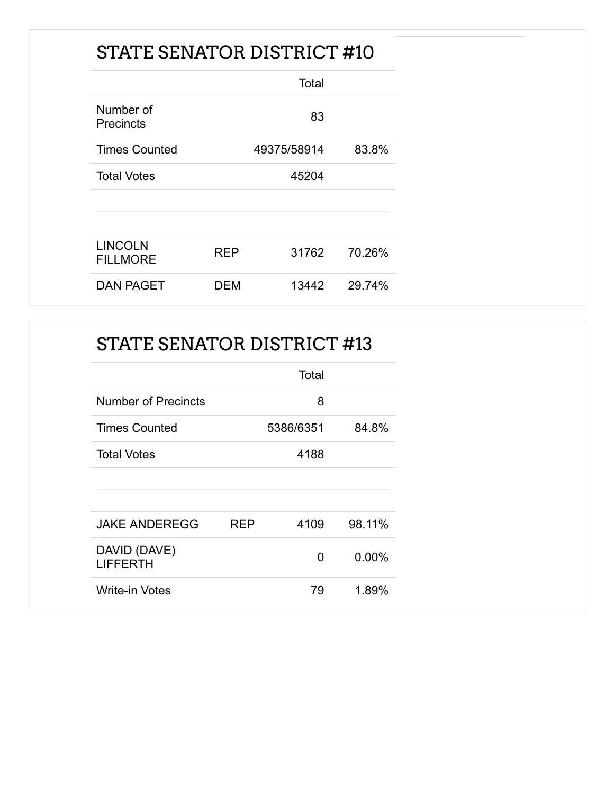### STATE SENATOR DISTRICT #10

|                                   |     | Total       |        |
|-----------------------------------|-----|-------------|--------|
| Number of<br><b>Precincts</b>     |     | 83          |        |
| <b>Times Counted</b>              |     | 49375/58914 | 83.8%  |
| <b>Total Votes</b>                |     | 45204       |        |
| <b>LINCOLN</b><br><b>FILLMORE</b> | RFP | 31762       | 70.26% |
| <b>DAN PAGET</b>                  | DEM | 13442       | 29.74% |

#### STATE SENATOR DISTRICT #13

|                                 |            | Total     |          |
|---------------------------------|------------|-----------|----------|
| Number of Precincts             |            | 8         |          |
| <b>Times Counted</b>            |            | 5386/6351 | 84.8%    |
| <b>Total Votes</b>              |            | 4188      |          |
|                                 |            |           |          |
|                                 |            |           |          |
| <b>JAKE ANDEREGG</b>            | <b>RFP</b> | 4109      | 98.11%   |
| DAVID (DAVE)<br><b>LIFFERTH</b> |            | O         | $0.00\%$ |
| <b>Write-in Votes</b>           |            | 79        | 1.89%    |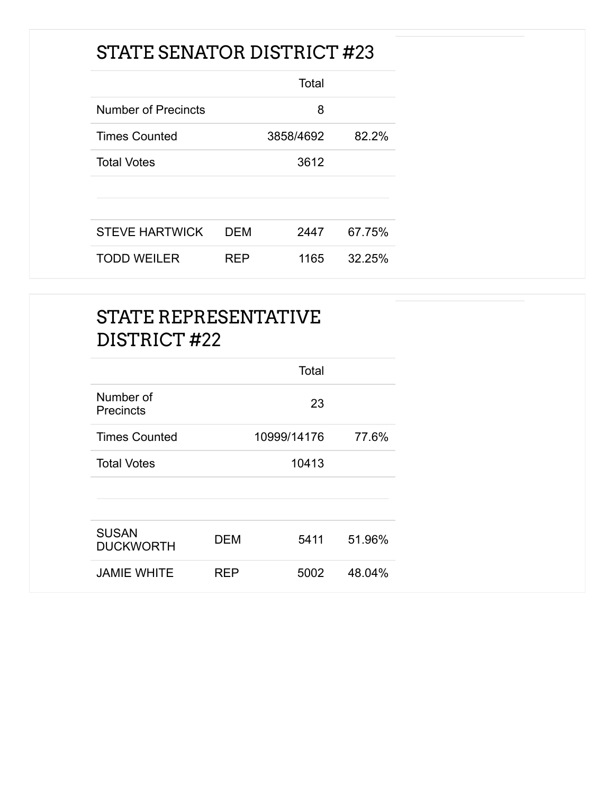### STATE SENATOR DISTRICT #23

|                            |     | Total     |        |
|----------------------------|-----|-----------|--------|
| <b>Number of Precincts</b> |     | 8         |        |
| <b>Times Counted</b>       |     | 3858/4692 | 82.2%  |
| <b>Total Votes</b>         |     | 3612      |        |
|                            |     |           |        |
|                            |     |           |        |
| <b>STEVE HARTWICK</b>      | DEM | 2447      | 67.75% |
| <b>TODD WEILER</b>         | RFP | 1165      | 32.25% |

|                                  |             | Total |        |
|----------------------------------|-------------|-------|--------|
| Number of<br><b>Precincts</b>    |             | 23    |        |
| <b>Times Counted</b>             | 10999/14176 |       | 77.6%  |
| <b>Total Votes</b>               |             | 10413 |        |
| <b>SUSAN</b><br><b>DUCKWORTH</b> | <b>DEM</b>  | 5411  | 51.96% |
| <b>JAMIE WHITE</b>               | <b>REP</b>  | 5002  | 48.04% |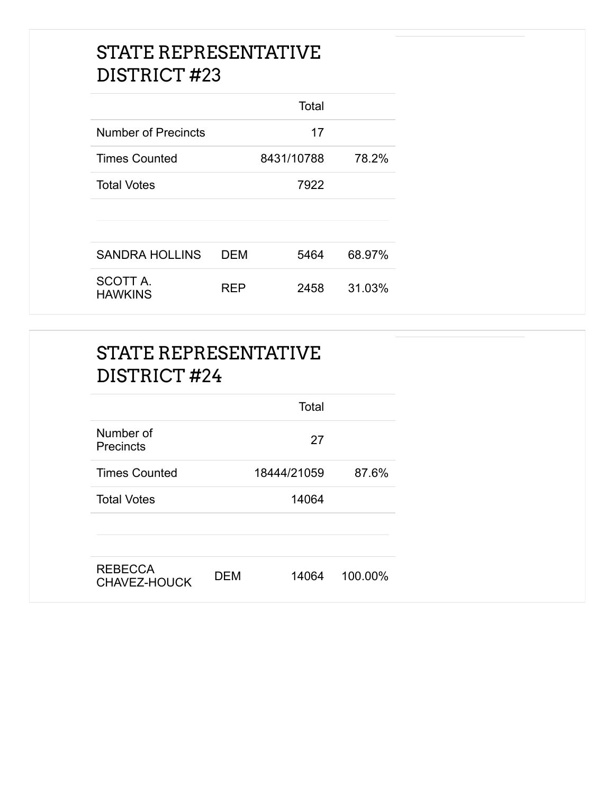|                            |     | Total      |        |
|----------------------------|-----|------------|--------|
| <b>Number of Precincts</b> |     | 17         |        |
| <b>Times Counted</b>       |     | 8431/10788 | 78.2%  |
| <b>Total Votes</b>         |     | 7922       |        |
|                            |     |            |        |
|                            |     |            |        |
| <b>SANDRA HOLLINS</b>      | DEM | 5464       | 68.97% |
| SCOTT A.<br><b>HAWKINS</b> | RFP | 2458       | 31.03% |

|                                | Total               |         |
|--------------------------------|---------------------|---------|
| Number of<br>Precincts         | 27                  |         |
| <b>Times Counted</b>           | 18444/21059         | 87.6%   |
| <b>Total Votes</b>             | 14064               |         |
| <b>REBECCA</b><br>CHAVEZ-HOUCK | <b>DEM</b><br>14064 | 100.00% |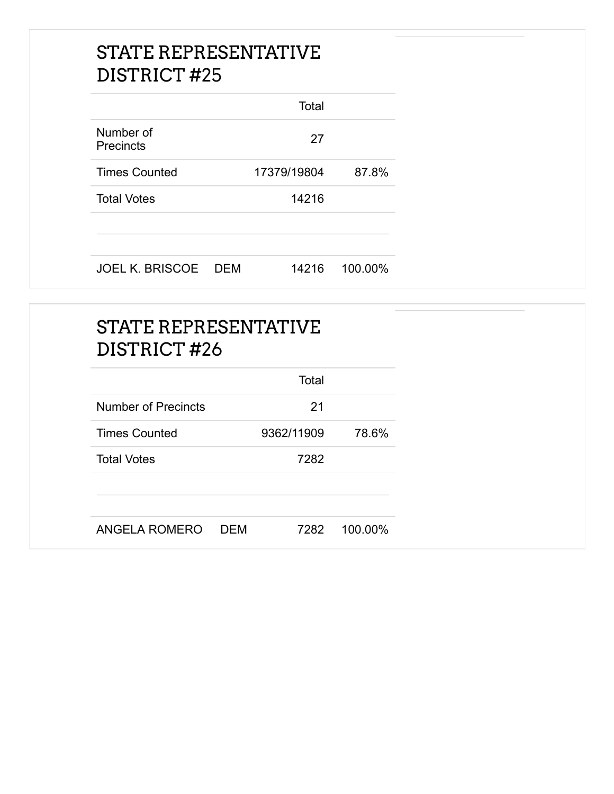|                               |     | Total       |         |
|-------------------------------|-----|-------------|---------|
| Number of<br><b>Precincts</b> |     | 27          |         |
| <b>Times Counted</b>          |     | 17379/19804 | 87.8%   |
| <b>Total Votes</b>            |     | 14216       |         |
| <b>JOEL K. BRISCOE</b>        | DEM | 14216       | 100.00% |

| <b>STATE REPRESENTATIVE</b><br>DISTRICT#26 |            |            |         |
|--------------------------------------------|------------|------------|---------|
|                                            |            | Total      |         |
| <b>Number of Precincts</b>                 |            | 21         |         |
| <b>Times Counted</b>                       |            | 9362/11909 | 78.6%   |
| <b>Total Votes</b>                         |            | 7282       |         |
| ANGELA ROMERO                              | <b>DEM</b> | 7282       | 100.00% |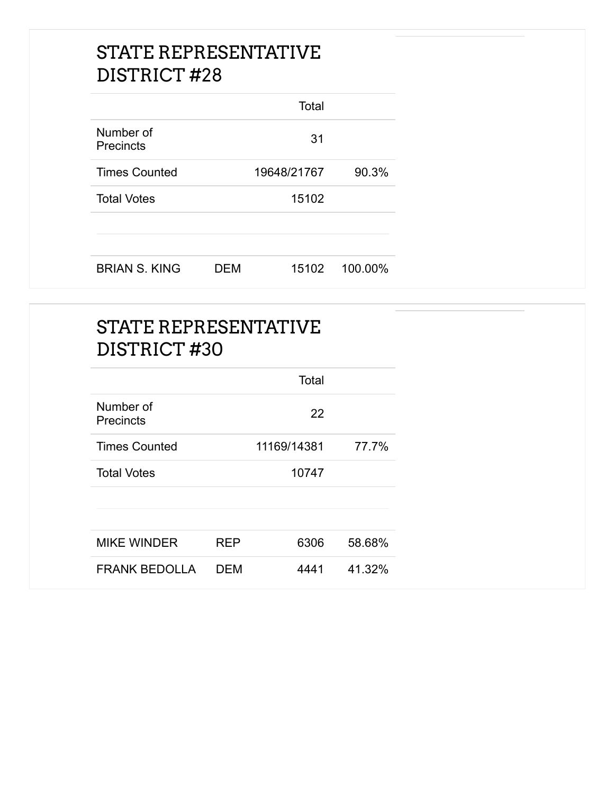|                               |     | Total       |         |
|-------------------------------|-----|-------------|---------|
| Number of<br><b>Precincts</b> |     | 31          |         |
| <b>Times Counted</b>          |     | 19648/21767 | 90.3%   |
| <b>Total Votes</b>            |     | 15102       |         |
|                               |     |             |         |
| <b>BRIAN S. KING</b>          | DEM | 15102       | 100.00% |

| <b>STATE REPRESENTATIVE</b><br>DISTRICT#30 |            |             |        |
|--------------------------------------------|------------|-------------|--------|
|                                            |            | Total       |        |
| Number of<br><b>Precincts</b>              |            | 22          |        |
| <b>Times Counted</b>                       |            | 11169/14381 | 77.7%  |
| <b>Total Votes</b>                         |            | 10747       |        |
| <b>MIKE WINDER</b>                         | <b>REP</b> | 6306        | 58.68% |
| <b>FRANK BEDOLLA</b>                       | <b>DEM</b> | 4441        | 41.32% |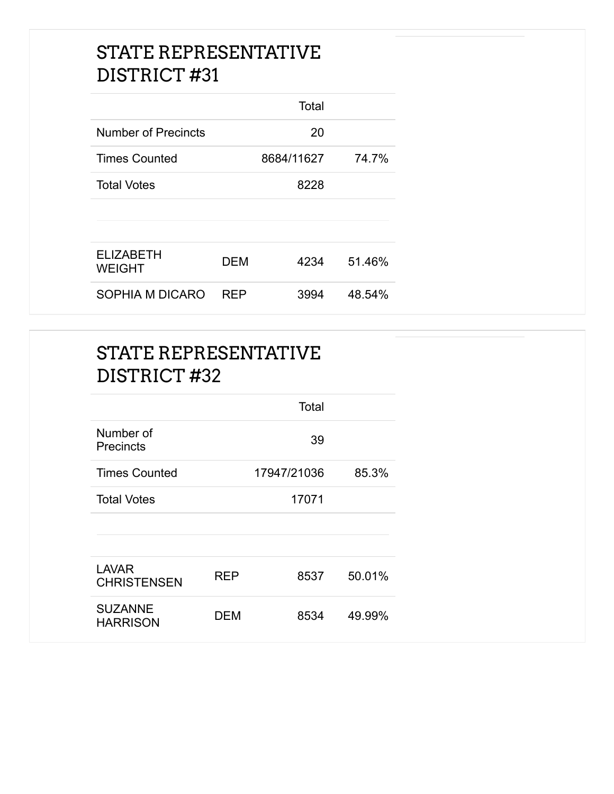|                                   |            | Total      |        |
|-----------------------------------|------------|------------|--------|
| Number of Precincts               |            | 20         |        |
| <b>Times Counted</b>              |            | 8684/11627 | 74.7%  |
| <b>Total Votes</b>                |            | 8228       |        |
|                                   |            |            |        |
|                                   |            |            |        |
| <b>ELIZABETH</b><br><b>WEIGHT</b> | DEM        | 4234       | 51.46% |
| SOPHIA M DICARO                   | <b>RFP</b> | 3994       | 48.54% |

|                                    |            | Total       |        |
|------------------------------------|------------|-------------|--------|
| Number of<br><b>Precincts</b>      |            | 39          |        |
| <b>Times Counted</b>               |            | 17947/21036 | 85.3%  |
| <b>Total Votes</b>                 |            | 17071       |        |
|                                    |            |             |        |
|                                    |            |             |        |
| <b>LAVAR</b><br><b>CHRISTENSEN</b> | <b>REP</b> | 8537        | 50.01% |
| <b>SUZANNE</b><br><b>HARRISON</b>  | <b>DEM</b> | 8534        | 49.99% |
|                                    |            |             |        |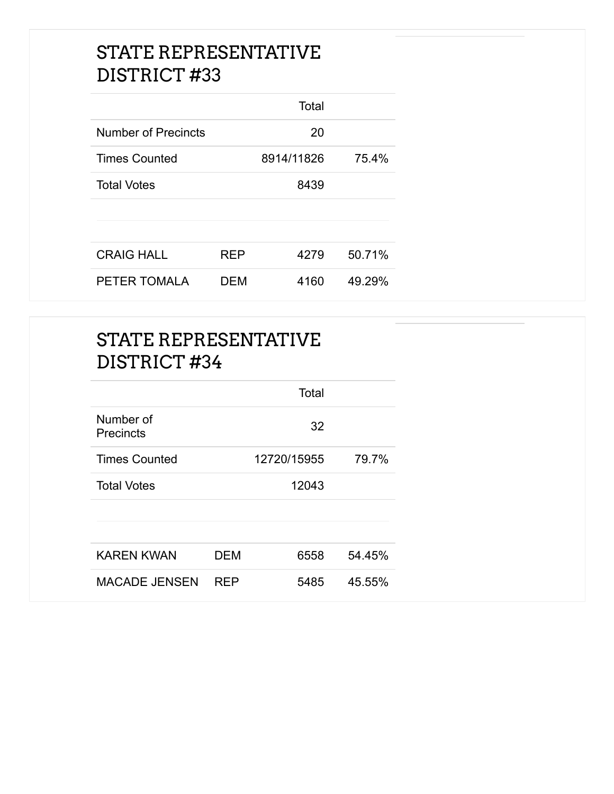|                      |            | Total      |        |
|----------------------|------------|------------|--------|
| Number of Precincts  |            | 20         |        |
| <b>Times Counted</b> |            | 8914/11826 | 75.4%  |
| <b>Total Votes</b>   |            | 8439       |        |
|                      |            |            |        |
| <b>CRAIG HALL</b>    | <b>REP</b> | 4279       | 50.71% |
| PETER TOMALA         | DEM        | 4160       | 49.29% |

|                        |            | Total       |        |
|------------------------|------------|-------------|--------|
| Number of<br>Precincts |            | 32          |        |
| <b>Times Counted</b>   |            | 12720/15955 | 79.7%  |
| <b>Total Votes</b>     |            | 12043       |        |
|                        |            |             |        |
| <b>KAREN KWAN</b>      | <b>DEM</b> | 6558        | 54.45% |
| <b>MACADE JENSEN</b>   | <b>REP</b> | 5485        | 45.55% |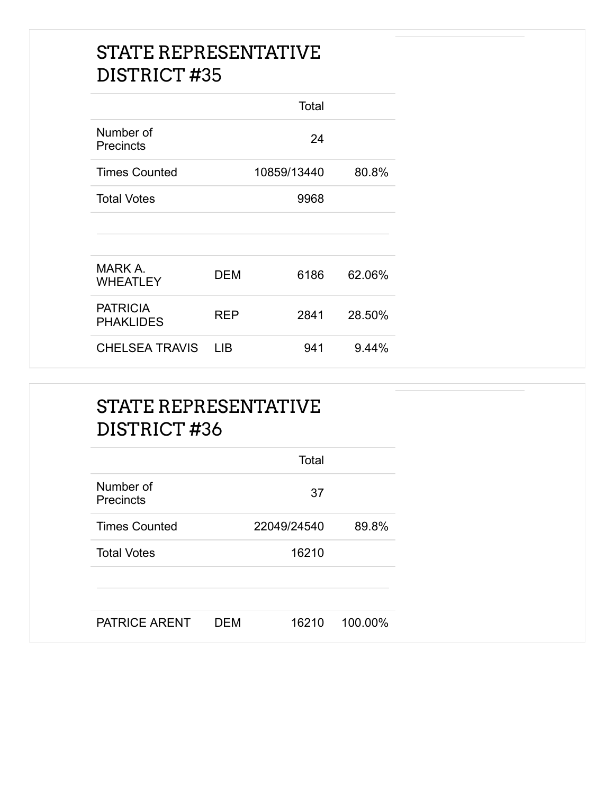|                                     |      | Total       |        |
|-------------------------------------|------|-------------|--------|
| Number of<br>Precincts              |      | 24          |        |
| <b>Times Counted</b>                |      | 10859/13440 | 80.8%  |
| <b>Total Votes</b>                  |      | 9968        |        |
|                                     |      |             |        |
|                                     |      |             |        |
| MARK A.<br><b>WHEATLEY</b>          | DEM  | 6186        | 62.06% |
| <b>PATRICIA</b><br><b>PHAKLIDES</b> | REP  | 2841        | 28.50% |
| <b>CHELSEA TRAVIS</b>               | I IB | 941         | 9.44%  |

|                               |            | Total       |         |
|-------------------------------|------------|-------------|---------|
| Number of<br><b>Precincts</b> |            | 37          |         |
| <b>Times Counted</b>          |            | 22049/24540 | 89.8%   |
| <b>Total Votes</b>            |            | 16210       |         |
|                               |            |             |         |
| PATRICE ARENT                 | <b>DEM</b> | 16210       | 100.00% |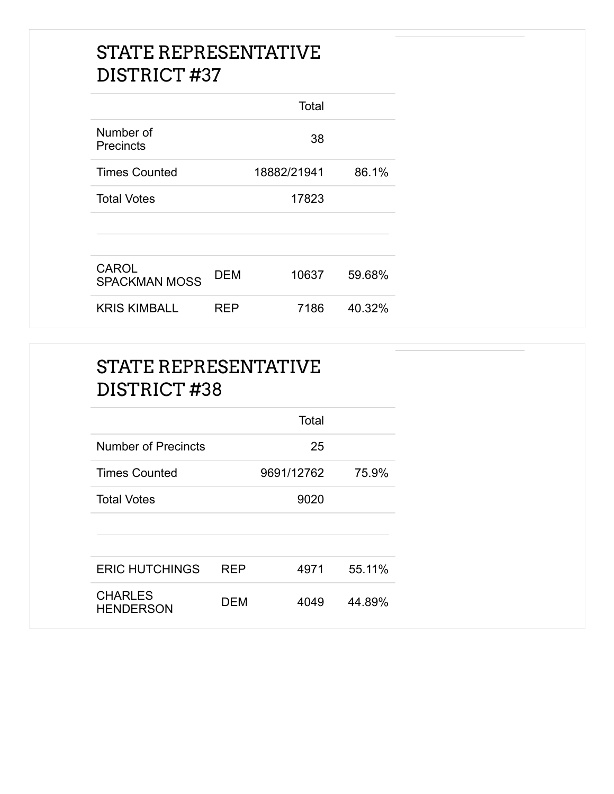|                                      |     | Total       |        |
|--------------------------------------|-----|-------------|--------|
| Number of<br>Precincts               |     | 38          |        |
| <b>Times Counted</b>                 |     | 18882/21941 | 86.1%  |
| <b>Total Votes</b>                   |     | 17823       |        |
|                                      |     |             |        |
| <b>CAROL</b><br><b>SPACKMAN MOSS</b> | DEM | 10637       | 59.68% |
| <b>KRIS KIMBALL</b>                  | RFP | 7186        | 40.32% |

|                                    |            | Total      |        |
|------------------------------------|------------|------------|--------|
| <b>Number of Precincts</b>         |            | 25         |        |
| <b>Times Counted</b>               |            | 9691/12762 | 75.9%  |
| <b>Total Votes</b>                 |            | 9020       |        |
|                                    |            |            |        |
|                                    |            |            |        |
| <b>ERIC HUTCHINGS</b>              | <b>REP</b> | 4971       | 55.11% |
| <b>CHARLES</b><br><b>HENDERSON</b> | <b>DEM</b> | 4049       | 44.89% |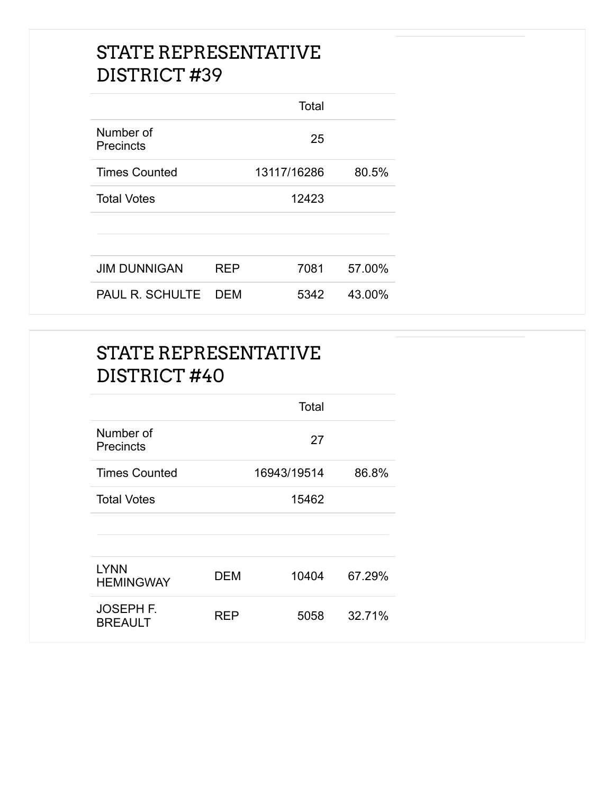|                               |            | Total       |        |
|-------------------------------|------------|-------------|--------|
| Number of<br><b>Precincts</b> |            | 25          |        |
| <b>Times Counted</b>          |            | 13117/16286 | 80.5%  |
| <b>Total Votes</b>            |            | 12423       |        |
|                               |            |             |        |
|                               |            |             |        |
| <b>JIM DUNNIGAN</b>           | <b>REP</b> | 7081        | 57.00% |
| <b>PAUL R. SCHULTE</b>        | <b>DEM</b> | 5342        | 43.00% |

|                                    |            | Total       |        |
|------------------------------------|------------|-------------|--------|
| Number of<br>Precincts             |            | 27          |        |
| <b>Times Counted</b>               |            | 16943/19514 | 86.8%  |
| <b>Total Votes</b>                 |            | 15462       |        |
|                                    |            |             |        |
| <b>LYNN</b>                        |            |             |        |
| <b>HEMINGWAY</b>                   | <b>DEM</b> | 10404       | 67.29% |
| <b>JOSEPH F.</b><br><b>BREAULT</b> | <b>REP</b> | 5058        | 32.71% |
|                                    |            |             |        |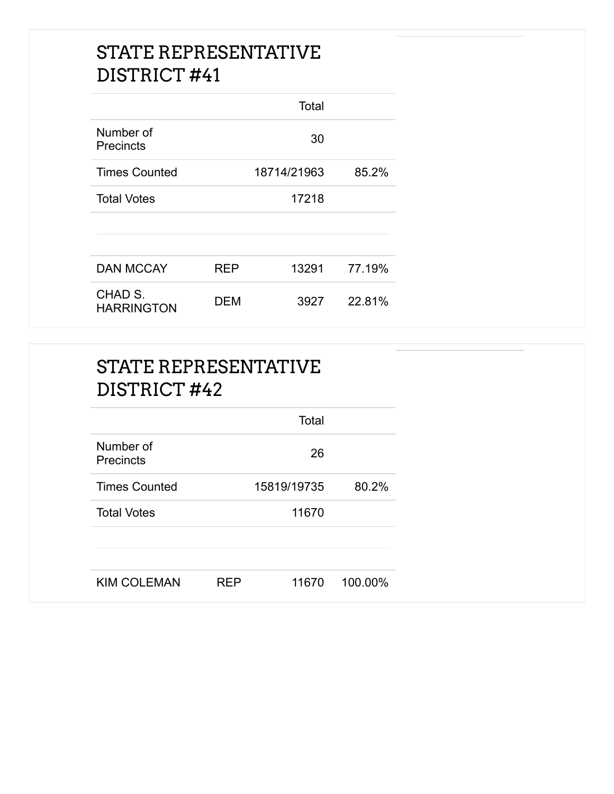|                               |            | Total       |        |
|-------------------------------|------------|-------------|--------|
| Number of<br><b>Precincts</b> |            | 30          |        |
| <b>Times Counted</b>          |            | 18714/21963 | 85.2%  |
| <b>Total Votes</b>            |            | 17218       |        |
|                               |            |             |        |
|                               |            |             |        |
| <b>DAN MCCAY</b>              | <b>REP</b> | 13291       | 77.19% |
| CHAD S.<br><b>HARRINGTON</b>  | DEM        | 3927        | 22.81% |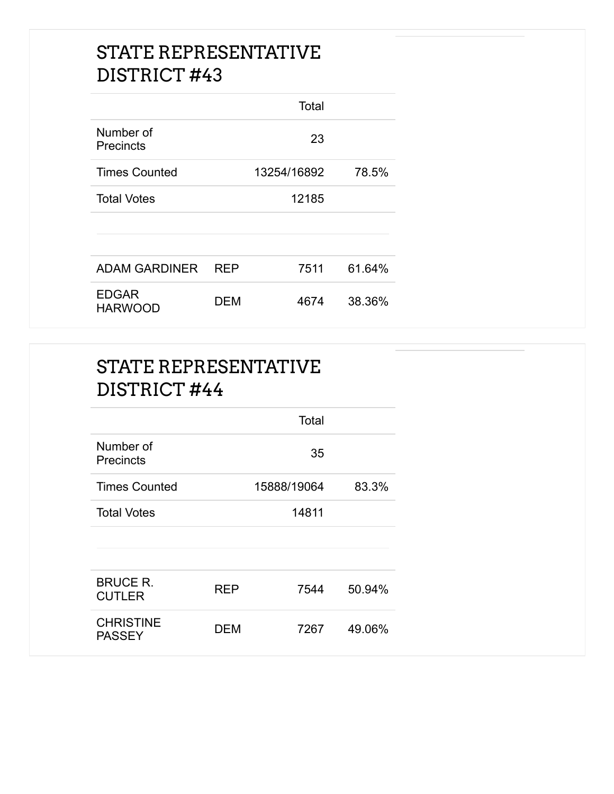|                                |            | Total       |        |
|--------------------------------|------------|-------------|--------|
| Number of<br><b>Precincts</b>  |            | 23          |        |
| <b>Times Counted</b>           |            | 13254/16892 | 78.5%  |
| <b>Total Votes</b>             |            | 12185       |        |
|                                |            |             |        |
|                                |            |             |        |
| <b>ADAM GARDINER</b>           | <b>REP</b> | 7511        | 61.64% |
| <b>EDGAR</b><br><b>HARWOOD</b> | DEM        | 4674        | 38.36% |

|                                   |            | Total       |        |
|-----------------------------------|------------|-------------|--------|
| Number of<br><b>Precincts</b>     |            | 35          |        |
| <b>Times Counted</b>              |            | 15888/19064 | 83.3%  |
| <b>Total Votes</b>                |            | 14811       |        |
|                                   |            |             |        |
|                                   |            |             |        |
| <b>BRUCE R.</b><br><b>CUTLER</b>  | <b>REP</b> | 7544        | 50.94% |
| <b>CHRISTINE</b><br><b>PASSEY</b> | <b>DEM</b> | 7267        | 49.06% |
|                                   |            |             |        |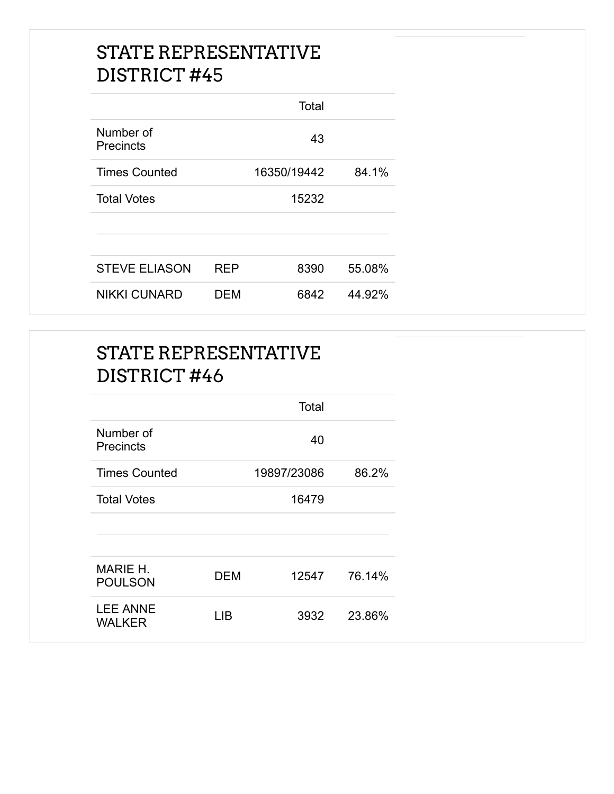|                               |            | Total       |        |
|-------------------------------|------------|-------------|--------|
| Number of<br><b>Precincts</b> |            | 43          |        |
| <b>Times Counted</b>          |            | 16350/19442 | 84.1%  |
| <b>Total Votes</b>            |            | 15232       |        |
|                               |            |             |        |
|                               |            |             |        |
| <b>STEVE ELIASON</b>          | <b>RFP</b> | 8390        | 55.08% |
| <b>NIKKI CUNARD</b>           | DEM        | 6842        | 44.92% |

|                                  |            | Total       |        |
|----------------------------------|------------|-------------|--------|
| Number of<br>Precincts           |            | 40          |        |
| <b>Times Counted</b>             |            | 19897/23086 | 86.2%  |
| <b>Total Votes</b>               |            | 16479       |        |
|                                  |            |             |        |
| MARIE H.<br><b>POULSON</b>       | <b>DEM</b> | 12547       | 76.14% |
| <b>LEE ANNE</b><br><b>WALKER</b> | <b>LIB</b> | 3932        | 23.86% |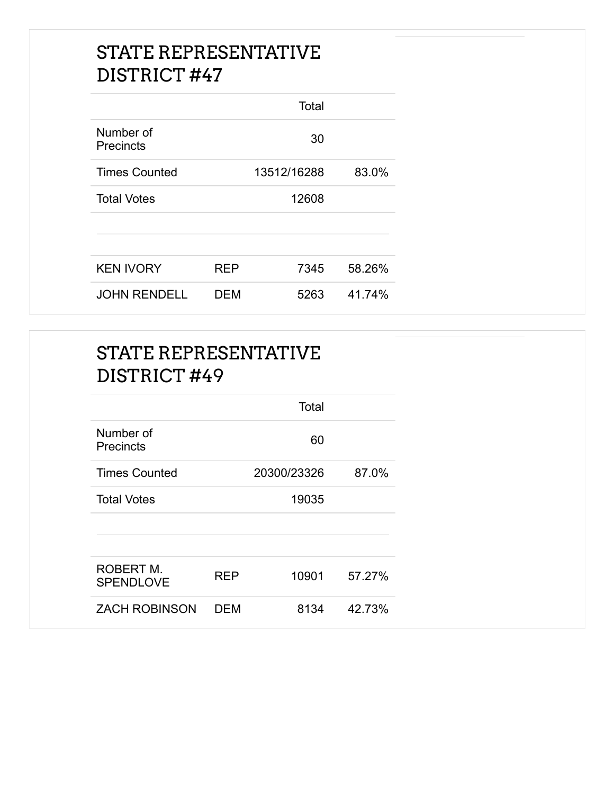|                               |     | Total       |        |
|-------------------------------|-----|-------------|--------|
| Number of<br><b>Precincts</b> |     | 30          |        |
| <b>Times Counted</b>          |     | 13512/16288 | 83.0%  |
| <b>Total Votes</b>            |     | 12608       |        |
|                               |     |             |        |
|                               |     |             |        |
| <b>KEN IVORY</b>              | RFP | 7345        | 58.26% |
| <b>JOHN RENDELL</b>           | DEM | 5263        | 41.74% |

|                               |            | Total       |        |
|-------------------------------|------------|-------------|--------|
| Number of<br><b>Precincts</b> |            | 60          |        |
| <b>Times Counted</b>          |            | 20300/23326 | 87.0%  |
| <b>Total Votes</b>            |            | 19035       |        |
|                               |            |             |        |
| ROBERT M.<br><b>SPENDLOVE</b> | <b>REP</b> | 10901       | 57.27% |
| <b>ZACH ROBINSON</b>          | <b>DEM</b> | 8134        | 42.73% |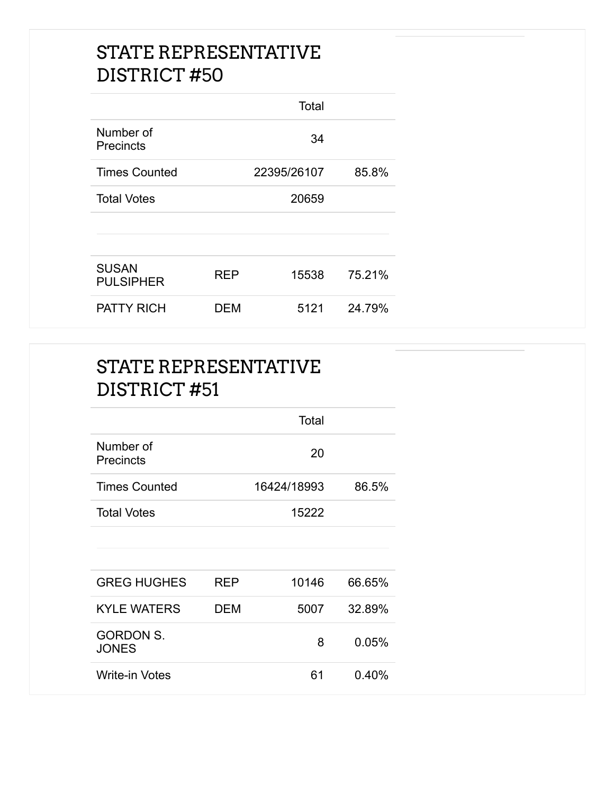|                                  |     | Total       |        |
|----------------------------------|-----|-------------|--------|
| Number of<br><b>Precincts</b>    |     | 34          |        |
| <b>Times Counted</b>             |     | 22395/26107 | 85.8%  |
| <b>Total Votes</b>               |     | 20659       |        |
|                                  |     |             |        |
| <b>SUSAN</b><br><b>PULSIPHER</b> | REP | 15538       | 75.21% |
| <b>PATTY RICH</b>                | DEM | 5121        | 24.79% |

|                                  |     | Total       |        |
|----------------------------------|-----|-------------|--------|
| Number of<br><b>Precincts</b>    |     | 20          |        |
| <b>Times Counted</b>             |     | 16424/18993 | 86.5%  |
| <b>Total Votes</b>               |     | 15222       |        |
|                                  |     |             |        |
| <b>GREG HUGHES</b>               | REP | 10146       | 66.65% |
| <b>KYLE WATERS</b>               | DEM | 5007        | 32.89% |
| <b>GORDON S.</b><br><b>JONES</b> |     | 8           | 0.05%  |
| <b>Write-in Votes</b>            |     | 61          | 0.40%  |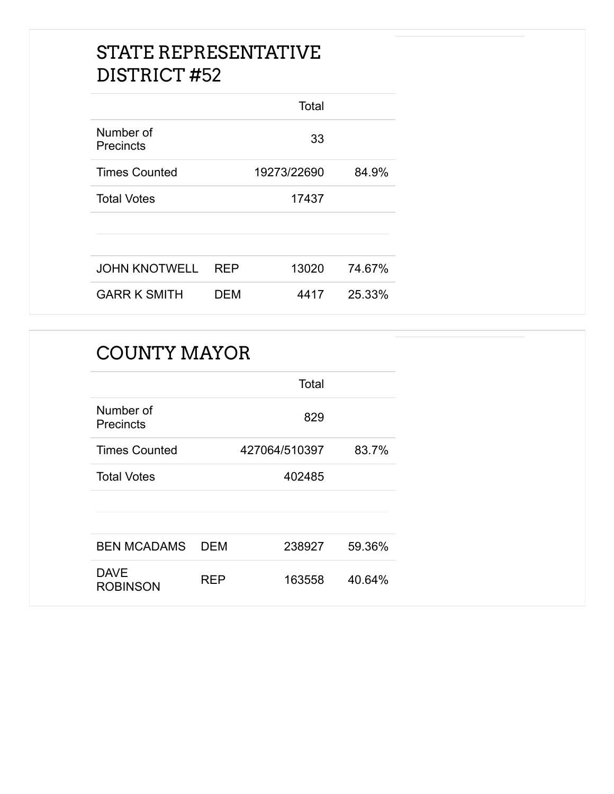|                        |            | Total       |        |
|------------------------|------------|-------------|--------|
| Number of<br>Precincts |            | 33          |        |
| <b>Times Counted</b>   |            | 19273/22690 | 84.9%  |
| <b>Total Votes</b>     |            | 17437       |        |
|                        |            |             |        |
|                        |            |             |        |
| <b>JOHN KNOTWELL</b>   | <b>REP</b> | 13020       | 74.67% |
| <b>GARR K SMITH</b>    | DEM        | 4417        | 25.33% |

#### COUNTY MAYOR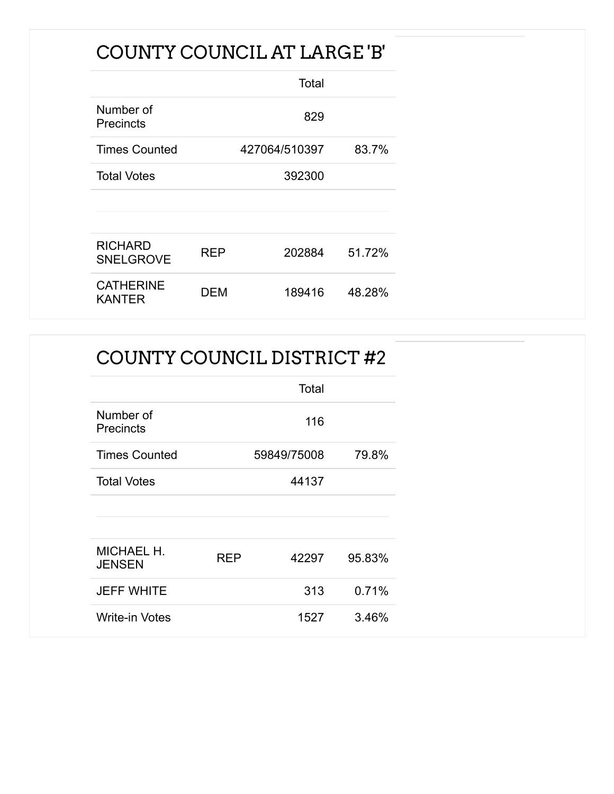### COUNTY COUNCIL AT LARGE 'B'

|                                    |     | Total         |        |
|------------------------------------|-----|---------------|--------|
| Number of<br>Precincts             |     | 829           |        |
| <b>Times Counted</b>               |     | 427064/510397 | 83.7%  |
| <b>Total Votes</b>                 |     | 392300        |        |
|                                    |     |               |        |
|                                    |     |               |        |
| <b>RICHARD</b><br><b>SNELGROVE</b> | REP | 202884        | 51.72% |
| <b>CATHERINE</b><br>KANTER         | DEM | 189416        | 48.28% |

### COUNTY COUNCIL DISTRICT #2

|                               |            | Total       |        |
|-------------------------------|------------|-------------|--------|
| Number of<br><b>Precincts</b> |            | 116         |        |
| <b>Times Counted</b>          |            | 59849/75008 | 79.8%  |
| <b>Total Votes</b>            |            | 44137       |        |
|                               |            |             |        |
|                               |            |             |        |
| MICHAEL H.<br><b>JENSEN</b>   | <b>REP</b> | 42297       | 95.83% |
| <b>JEFF WHITE</b>             |            | 313         | 0.71%  |
| <b>Write-in Votes</b>         |            | 1527        | 3.46%  |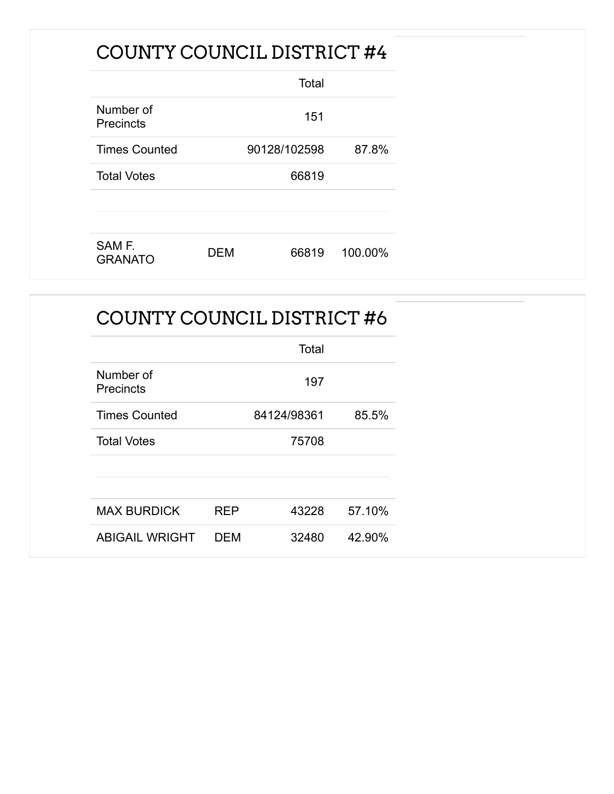### COUNTY COUNCIL DISTRICT #4

|                               |     | Total        |         |
|-------------------------------|-----|--------------|---------|
| Number of<br><b>Precincts</b> |     | 151          |         |
| <b>Times Counted</b>          |     | 90128/102598 | 87.8%   |
| <b>Total Votes</b>            |     | 66819        |         |
|                               |     |              |         |
| SAM F.<br><b>GRANATO</b>      | DEM | 66819        | 100.00% |

### COUNTY COUNCIL DISTRICT #6

|                               |            | Total       |        |
|-------------------------------|------------|-------------|--------|
| Number of<br><b>Precincts</b> |            | 197         |        |
| <b>Times Counted</b>          |            | 84124/98361 | 85.5%  |
| <b>Total Votes</b>            |            | 75708       |        |
|                               |            |             |        |
|                               |            |             |        |
| <b>MAX BURDICK</b>            | <b>REP</b> | 43228       | 57.10% |
| <b>ABIGAIL WRIGHT</b>         | <b>DEM</b> | 32480       | 42.90% |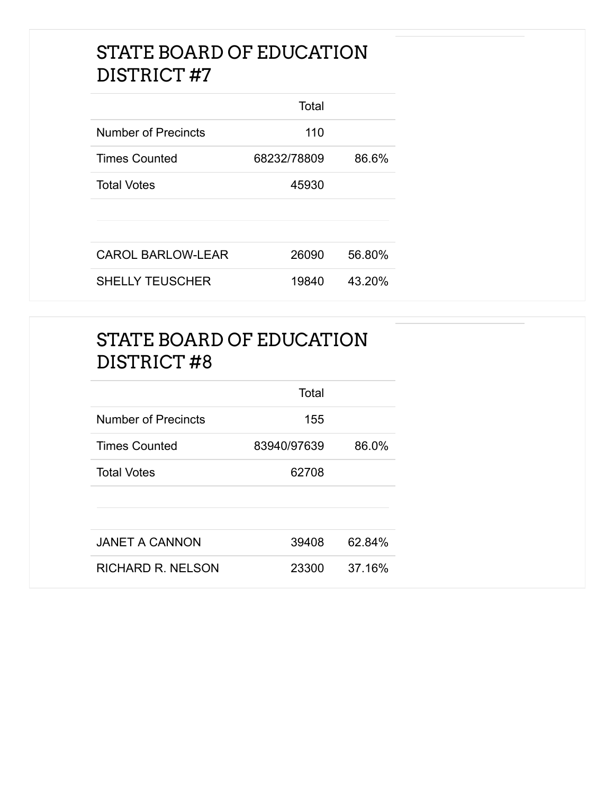#### STATE BOARD OF EDUCATION DISTRICT #7

|                          | Total       |        |
|--------------------------|-------------|--------|
| Number of Precincts      | 110         |        |
| <b>Times Counted</b>     | 68232/78809 | 86.6%  |
| <b>Total Votes</b>       | 45930       |        |
|                          |             |        |
|                          |             |        |
| <b>CAROL BARLOW-LEAR</b> | 26090       | 56.80% |
| <b>SHELLY TEUSCHER</b>   | 19840       | 43.20% |

### STATE BOARD OF EDUCATION DISTRICT #8

|                       | Total       |        |
|-----------------------|-------------|--------|
| Number of Precincts   | 155         |        |
| <b>Times Counted</b>  | 83940/97639 | 86.0%  |
| <b>Total Votes</b>    | 62708       |        |
|                       |             |        |
|                       |             |        |
| <b>JANET A CANNON</b> | 39408       | 62.84% |
| RICHARD R. NELSON     | 23300       | 37.16% |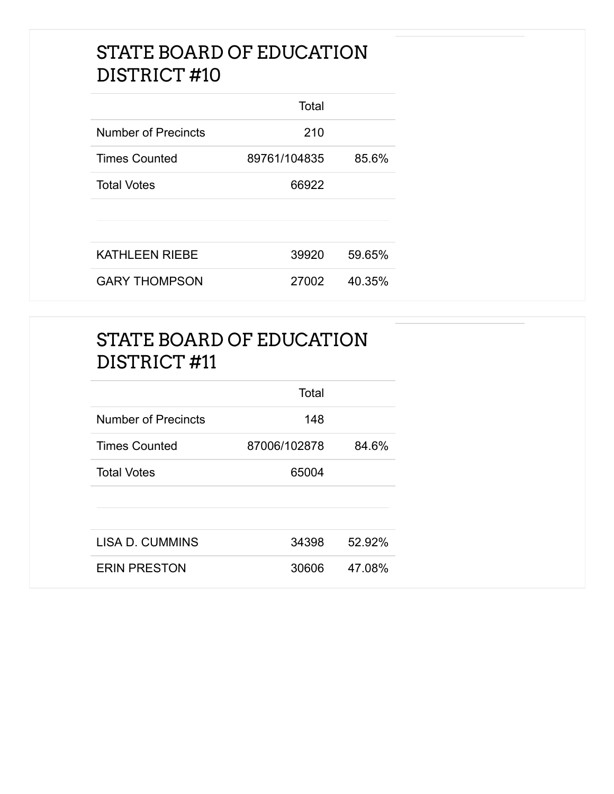#### STATE BOARD OF EDUCATION DISTRICT #10

|                       | Total        |        |
|-----------------------|--------------|--------|
| Number of Precincts   | 210          |        |
| <b>Times Counted</b>  | 89761/104835 | 85.6%  |
| <b>Total Votes</b>    | 66922        |        |
|                       |              |        |
|                       |              |        |
| <b>KATHLEEN RIEBE</b> | 39920        | 59.65% |
| <b>GARY THOMPSON</b>  | 27002        | 40.35% |

### STATE BOARD OF EDUCATION DISTRICT #11

|                            | Total        |        |
|----------------------------|--------------|--------|
| <b>Number of Precincts</b> | 148          |        |
| <b>Times Counted</b>       | 87006/102878 | 84.6%  |
| <b>Total Votes</b>         | 65004        |        |
|                            |              |        |
|                            |              |        |
| <b>LISA D. CUMMINS</b>     | 34398        | 52.92% |
| <b>ERIN PRESTON</b>        | 30606        | 47.08% |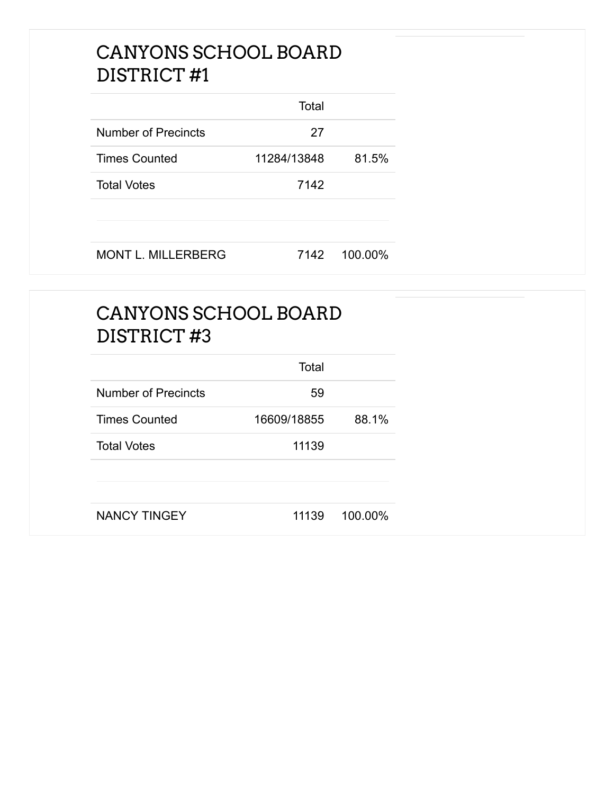#### CANYONS SCHOOL BOARD DISTRICT #1

|                           | Total       |         |
|---------------------------|-------------|---------|
| Number of Precincts       | 27          |         |
| <b>Times Counted</b>      | 11284/13848 | 81.5%   |
| <b>Total Votes</b>        | 7142        |         |
|                           |             |         |
| <b>MONT L. MILLERBERG</b> | 7142        | 100.00% |

### CANYONS SCHOOL BOARD DISTRICT #3

|                            | Total       |         |
|----------------------------|-------------|---------|
| <b>Number of Precincts</b> | 59          |         |
| <b>Times Counted</b>       | 16609/18855 | 88.1%   |
| <b>Total Votes</b>         | 11139       |         |
|                            |             |         |
| <b>NANCY TINGEY</b>        | 11139       | 100.00% |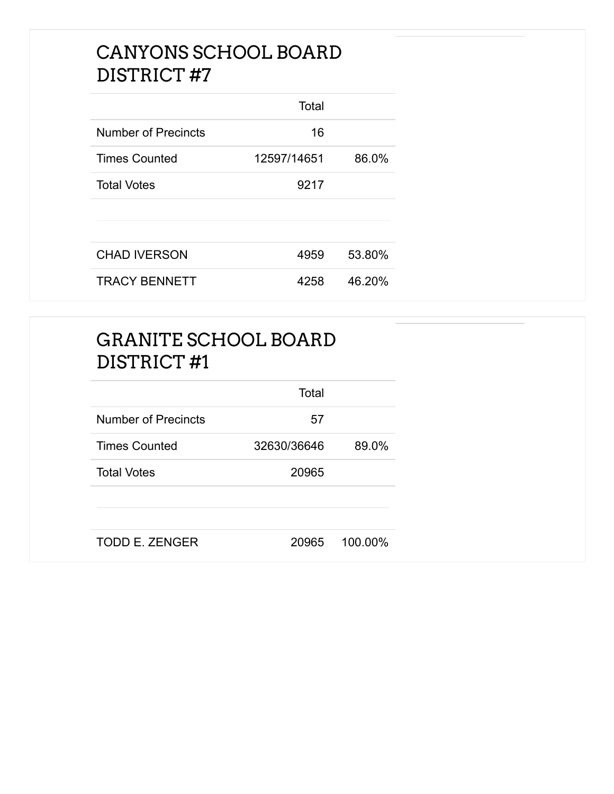#### CANYONS SCHOOL BOARD DISTRICT #7

|                      | Total       |        |
|----------------------|-------------|--------|
| Number of Precincts  | 16          |        |
| <b>Times Counted</b> | 12597/14651 | 86.0%  |
| <b>Total Votes</b>   | 9217        |        |
|                      |             |        |
|                      |             |        |
| <b>CHAD IVERSON</b>  | 4959        | 53.80% |
| <b>TRACY BENNETT</b> | 4258        | 46.20% |

| <b>GRANITE SCHOOL BOARD</b><br>DISTRICT#1 |             |         |
|-------------------------------------------|-------------|---------|
|                                           | Total       |         |
| <b>Number of Precincts</b>                | 57          |         |
| <b>Times Counted</b>                      | 32630/36646 | 89.0%   |
| <b>Total Votes</b>                        | 20965       |         |
| <b>TODD E. ZENGER</b>                     | 20965       | 100.00% |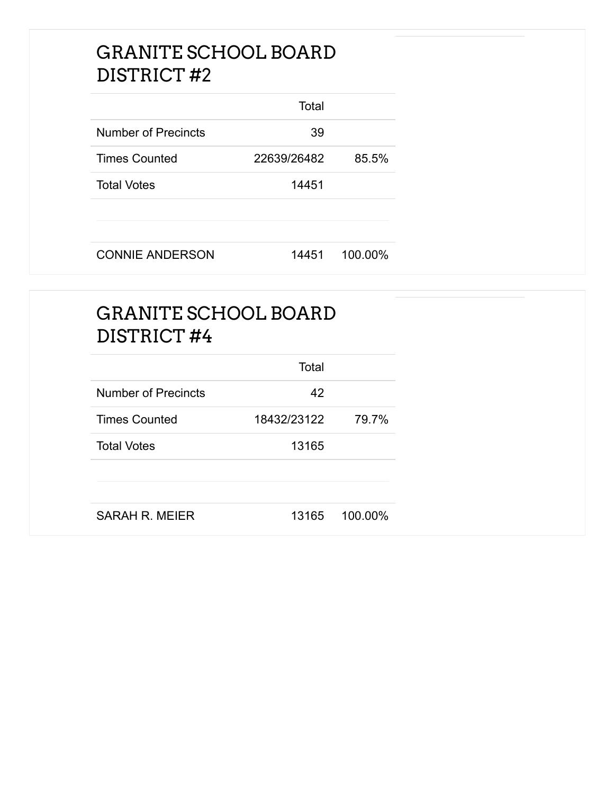#### GRANITE SCHOOL BOARD DISTRICT #2

|                            | Total       |         |
|----------------------------|-------------|---------|
| <b>Number of Precincts</b> | 39          |         |
| <b>Times Counted</b>       | 22639/26482 | 85.5%   |
| <b>Total Votes</b>         | 14451       |         |
|                            |             |         |
| <b>CONNIE ANDERSON</b>     | 14451       | 100.00% |

#### GRANITE SCHOOL BOARD DISTRICT #4

|                            | Total       |         |
|----------------------------|-------------|---------|
| <b>Number of Precincts</b> | 42          |         |
| <b>Times Counted</b>       | 18432/23122 | 79.7%   |
| <b>Total Votes</b>         | 13165       |         |
|                            |             |         |
| SARAH R. MEIER             | 13165       | 100.00% |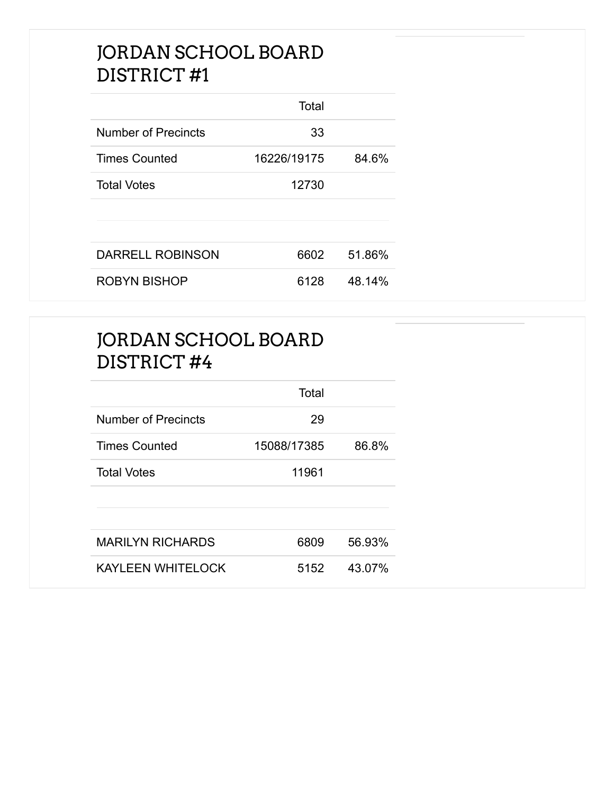#### JORDAN SCHOOL BOARD DISTRICT #1

|                            | Total       |        |
|----------------------------|-------------|--------|
| <b>Number of Precincts</b> | 33          |        |
| <b>Times Counted</b>       | 16226/19175 | 84.6%  |
| <b>Total Votes</b>         | 12730       |        |
|                            |             |        |
|                            |             |        |
| <b>DARRELL ROBINSON</b>    | 6602        | 51.86% |
| <b>ROBYN BISHOP</b>        | 6128        | 48.14% |

#### JORDAN SCHOOL BOARD DISTRICT #4

|                          | Total       |        |
|--------------------------|-------------|--------|
| Number of Precincts      | 29          |        |
| <b>Times Counted</b>     | 15088/17385 | 86.8%  |
| <b>Total Votes</b>       | 11961       |        |
|                          |             |        |
|                          |             |        |
| <b>MARILYN RICHARDS</b>  | 6809        | 56.93% |
| <b>KAYLEEN WHITELOCK</b> | 5152        | 43.07% |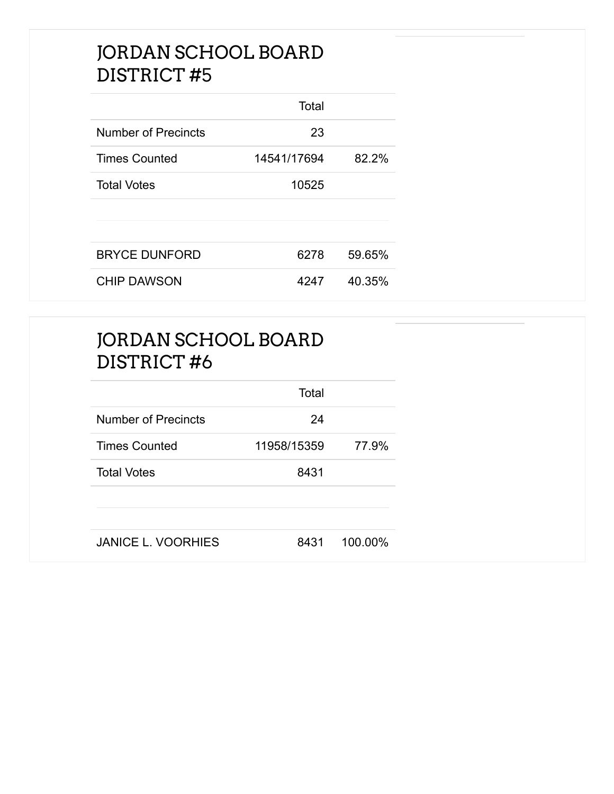#### JORDAN SCHOOL BOARD DISTRICT #5

|                      | Total       |        |
|----------------------|-------------|--------|
| Number of Precincts  | 23          |        |
| <b>Times Counted</b> | 14541/17694 | 82.2%  |
| <b>Total Votes</b>   | 10525       |        |
|                      |             |        |
|                      |             |        |
| <b>BRYCE DUNFORD</b> | 6278        | 59.65% |
| <b>CHIP DAWSON</b>   | 4247        | 40.35% |

| JORDAN SCHOOL BOARD |
|---------------------|
| DISTRICT#6          |

|                            | Total       |         |
|----------------------------|-------------|---------|
| <b>Number of Precincts</b> | 24          |         |
| <b>Times Counted</b>       | 11958/15359 | 77.9%   |
| <b>Total Votes</b>         | 8431        |         |
|                            |             |         |
| <b>JANICE L. VOORHIES</b>  | 8431        | 100.00% |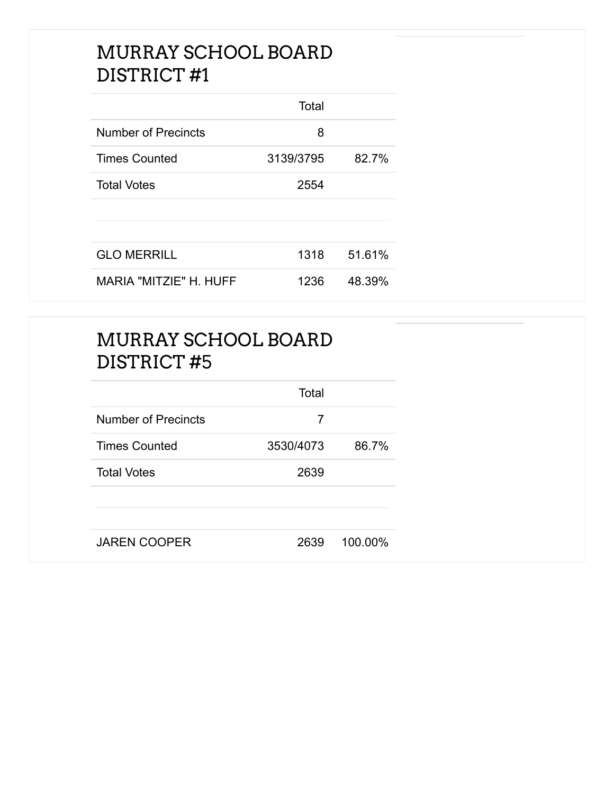#### MURRAY SCHOOL BOARD DISTRICT #1

|                               | Total     |        |
|-------------------------------|-----------|--------|
| <b>Number of Precincts</b>    | 8         |        |
| <b>Times Counted</b>          | 3139/3795 | 82.7%  |
| <b>Total Votes</b>            | 2554      |        |
|                               |           |        |
|                               |           |        |
| <b>GLO MERRILL</b>            | 1318      | 51.61% |
| <b>MARIA "MITZIE" H. HUFF</b> | 1236      | 48.39% |

### MURRAY SCHOOL BOARD DISTRICT #5

|                            | Total     |         |
|----------------------------|-----------|---------|
| <b>Number of Precincts</b> | 7         |         |
| <b>Times Counted</b>       | 3530/4073 | 86.7%   |
| <b>Total Votes</b>         | 2639      |         |
|                            |           |         |
| <b>JAREN COOPER</b>        | 2639      | 100.00% |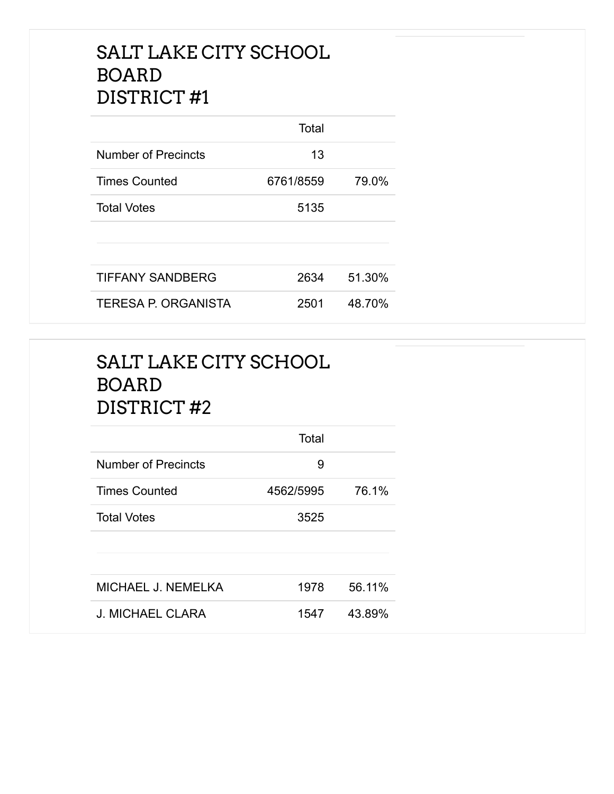#### SALT LAKE CITY SCHOOL BOARD DISTRICT #1

|                            | Total     |        |
|----------------------------|-----------|--------|
| Number of Precincts        | 13        |        |
| <b>Times Counted</b>       | 6761/8559 | 79.0%  |
| <b>Total Votes</b>         | 5135      |        |
|                            |           |        |
|                            |           |        |
| TIFFANY SANDBERG           | 2634      | 51.30% |
| <b>TERESA P. ORGANISTA</b> | 2501      | 48.70% |

### SALT LAKE CITY SCHOOL BOARD DISTRICT #2

|                            | Total     |        |
|----------------------------|-----------|--------|
| <b>Number of Precincts</b> | 9         |        |
| <b>Times Counted</b>       | 4562/5995 | 76.1%  |
| <b>Total Votes</b>         | 3525      |        |
|                            |           |        |
|                            |           |        |
| MICHAEL J. NEMELKA         | 1978      | 56.11% |
| J. MICHAEL CLARA           | 1547      | 43.89% |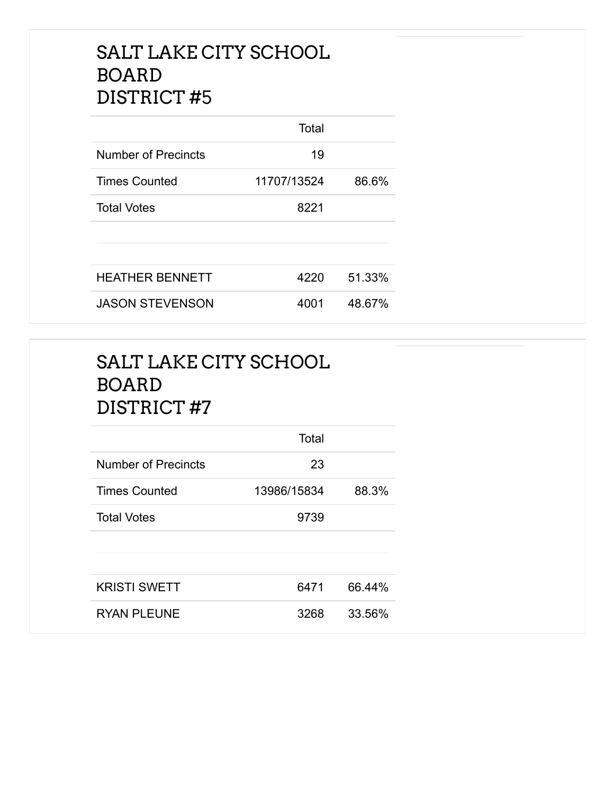#### SALT LAKE CITY SCHOOL BOARD DISTRICT #5

|                        | Total       |        |
|------------------------|-------------|--------|
| Number of Precincts    | 19          |        |
| <b>Times Counted</b>   | 11707/13524 | 86.6%  |
| <b>Total Votes</b>     | 8221        |        |
|                        |             |        |
|                        |             |        |
| <b>HEATHER BENNETT</b> | 4220        | 51.33% |
| <b>JASON STEVENSON</b> | 4001        | 48.67% |

### SALT LAKE CITY SCHOOL BOARD DISTRICT #7

|                            | Total       |        |
|----------------------------|-------------|--------|
| <b>Number of Precincts</b> | 23          |        |
| <b>Times Counted</b>       | 13986/15834 | 88.3%  |
| <b>Total Votes</b>         | 9739        |        |
|                            |             |        |
|                            |             |        |
| <b>KRISTI SWETT</b>        | 6471        | 66.44% |
| <b>RYAN PLEUNE</b>         | 3268        | 33.56% |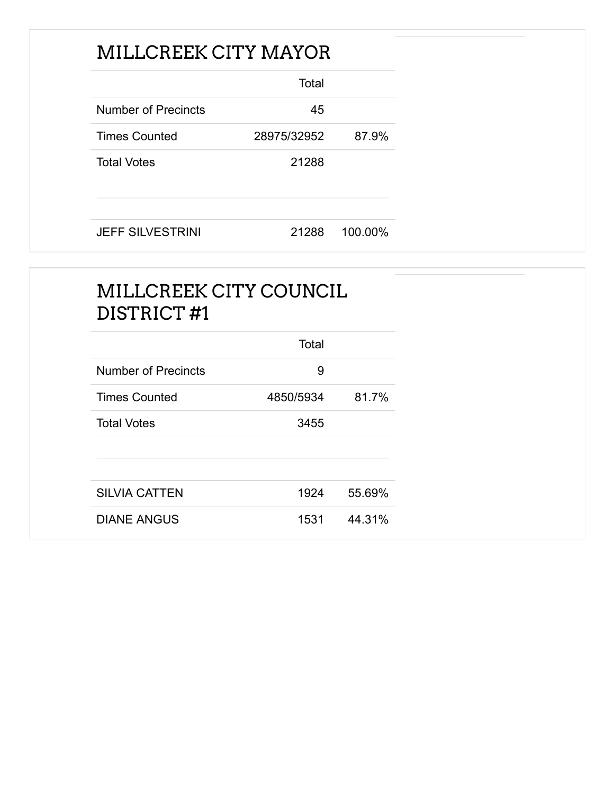### MILLCREEK CITY MAYOR

|                      | Total       |       |
|----------------------|-------------|-------|
| Number of Precincts  | 45          |       |
| <b>Times Counted</b> | 28975/32952 | 87.9% |
| <b>Total Votes</b>   | 21288       |       |
|                      |             |       |
|                      |             |       |

JEFF SILVESTRINI 21288 100.00%

### MILLCREEK CITY COUNCIL DISTRICT #1

|                      | Total     |        |
|----------------------|-----------|--------|
| Number of Precincts  | 9         |        |
| <b>Times Counted</b> | 4850/5934 | 81.7%  |
| <b>Total Votes</b>   | 3455      |        |
|                      |           |        |
|                      |           |        |
| <b>SILVIA CATTEN</b> | 1924      | 55.69% |
| <b>DIANE ANGUS</b>   | 1531      | 44.31% |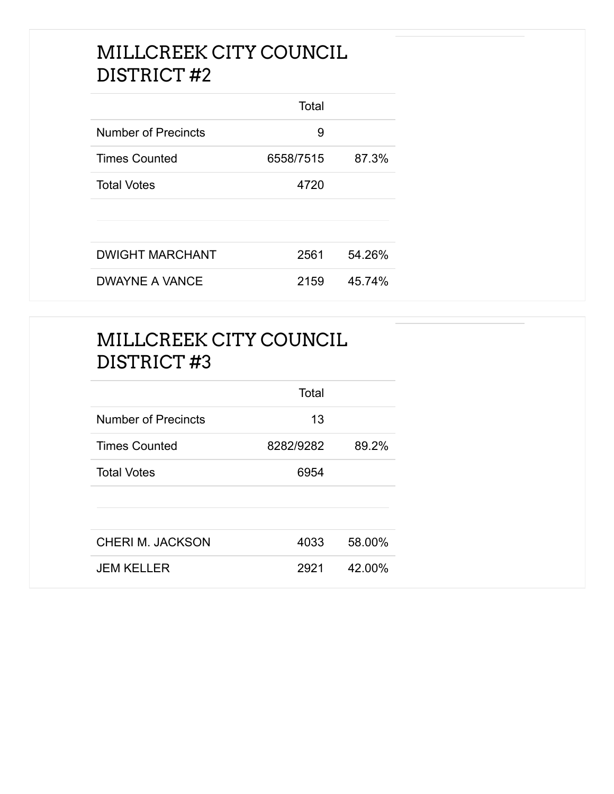#### MILLCREEK CITY COUNCIL DISTRICT #2

|                            | Total     |        |
|----------------------------|-----------|--------|
| <b>Number of Precincts</b> | 9         |        |
| <b>Times Counted</b>       | 6558/7515 | 87.3%  |
| <b>Total Votes</b>         | 4720      |        |
|                            |           |        |
|                            |           |        |
| <b>DWIGHT MARCHANT</b>     | 2561      | 54.26% |
| <b>DWAYNE A VANCE</b>      | 2159      | 45.74% |

### MILLCREEK CITY COUNCIL DISTRICT #3

|                            | Total     |        |
|----------------------------|-----------|--------|
| <b>Number of Precincts</b> | 13        |        |
| <b>Times Counted</b>       | 8282/9282 | 89.2%  |
| <b>Total Votes</b>         | 6954      |        |
|                            |           |        |
|                            |           |        |
| <b>CHERI M. JACKSON</b>    | 4033      | 58.00% |
| <b>JEM KELLER</b>          | 2921      | 42.00% |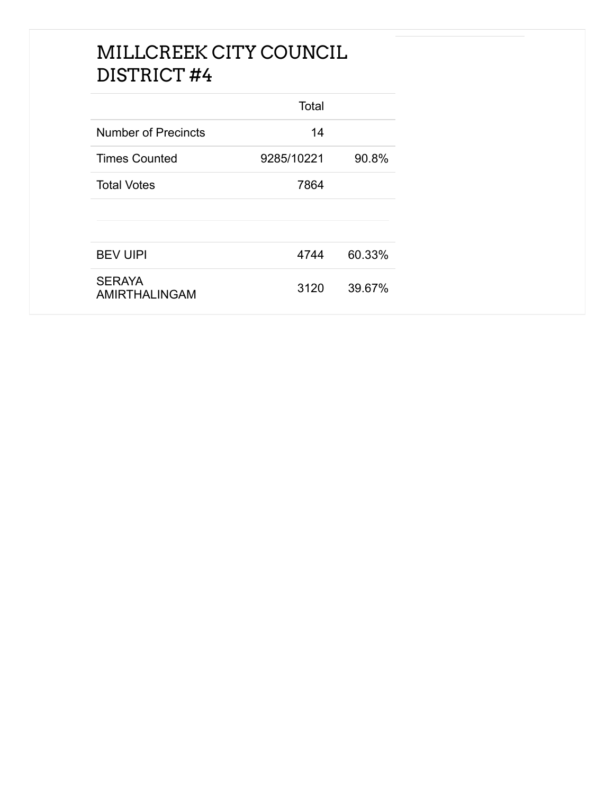### MILLCREEK CITY COUNCIL DISTRICT #4

|                                | Total      |        |
|--------------------------------|------------|--------|
| <b>Number of Precincts</b>     | 14         |        |
| <b>Times Counted</b>           | 9285/10221 | 90.8%  |
| <b>Total Votes</b>             | 7864       |        |
|                                |            |        |
|                                |            |        |
| <b>BEV UIPI</b>                | 4744       | 60.33% |
| <b>SERAYA</b><br>AMIRTHALINGAM | 3120       | 39.67% |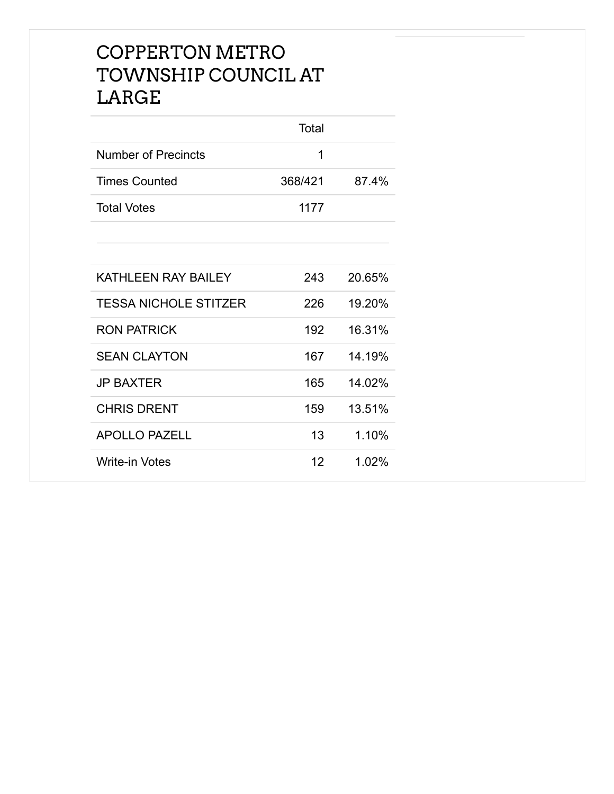#### COPPERTON METRO TOWNSHIP COUNCIL AT LARGE

|                      | Total   |       |
|----------------------|---------|-------|
| Number of Precincts  |         |       |
| <b>Times Counted</b> | 368/421 | 87.4% |
| <b>Total Votes</b>   | 1177    |       |
|                      |         |       |

| KATHLEEN RAY BAILEY          | 243 | 20.65% |
|------------------------------|-----|--------|
| <b>TESSA NICHOLE STITZER</b> | 226 | 19.20% |
| <b>RON PATRICK</b>           | 192 | 16.31% |
| <b>SEAN CLAYTON</b>          | 167 | 14.19% |
| <b>JP BAXTER</b>             | 165 | 14.02% |
| <b>CHRIS DRENT</b>           | 159 | 13.51% |
| <b>APOLLO PAZELL</b>         | 13  | 1.10%  |
| <b>Write-in Votes</b>        | 12  | 1.02%  |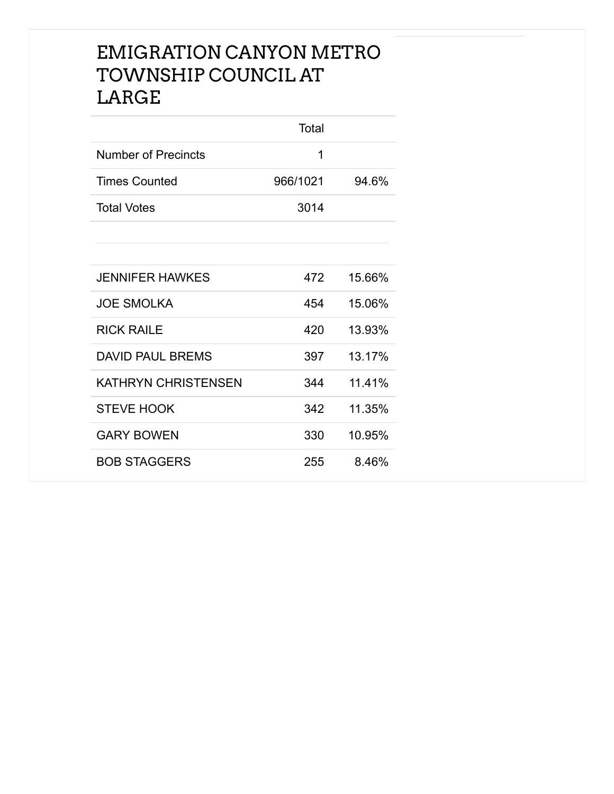#### EMIGRATION CANYON METRO TOWNSHIP COUNCIL AT LARGE

|                            | Total    |        |
|----------------------------|----------|--------|
| <b>Number of Precincts</b> | 1        |        |
| <b>Times Counted</b>       | 966/1021 | 94.6%  |
| <b>Total Votes</b>         | 3014     |        |
|                            |          |        |
|                            |          |        |
| JENNIFER HAWKES            | 472      | 15.66% |
| <b>JOE SMOLKA</b>          | 454      | 15.06% |
| <b>RICK RAILE</b>          | 420      | 13.93% |
| <b>DAVID PAUL BREMS</b>    | 397      | 13.17% |
| <b>KATHRYN CHRISTENSEN</b> | 344      | 11.41% |
| <b>STEVE HOOK</b>          | 342      | 11.35% |
| <b>GARY BOWEN</b>          | 330      | 10.95% |
| <b>BOB STAGGERS</b>        | 255      | 8.46%  |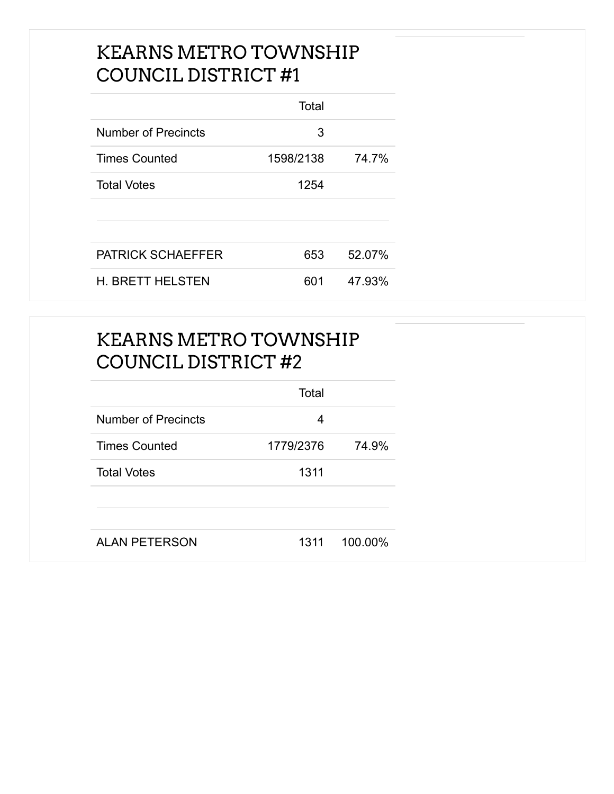#### KEARNS METRO TOWNSHIP COUNCIL DISTRICT #1

|                          | Total     |        |
|--------------------------|-----------|--------|
| Number of Precincts      | 3         |        |
| <b>Times Counted</b>     | 1598/2138 | 74.7%  |
| <b>Total Votes</b>       | 1254      |        |
|                          |           |        |
|                          |           |        |
| <b>PATRICK SCHAEFFER</b> | 653       | 52.07% |
| <b>H. BRETT HELSTEN</b>  | 601       | 47.93% |

### KEARNS METRO TOWNSHIP COUNCIL DISTRICT #2

|                            | Total     |         |
|----------------------------|-----------|---------|
| <b>Number of Precincts</b> | 4         |         |
| <b>Times Counted</b>       | 1779/2376 | 74.9%   |
| <b>Total Votes</b>         | 1311      |         |
|                            |           |         |
| <b>ALAN PETERSON</b>       | 1311      | 100.00% |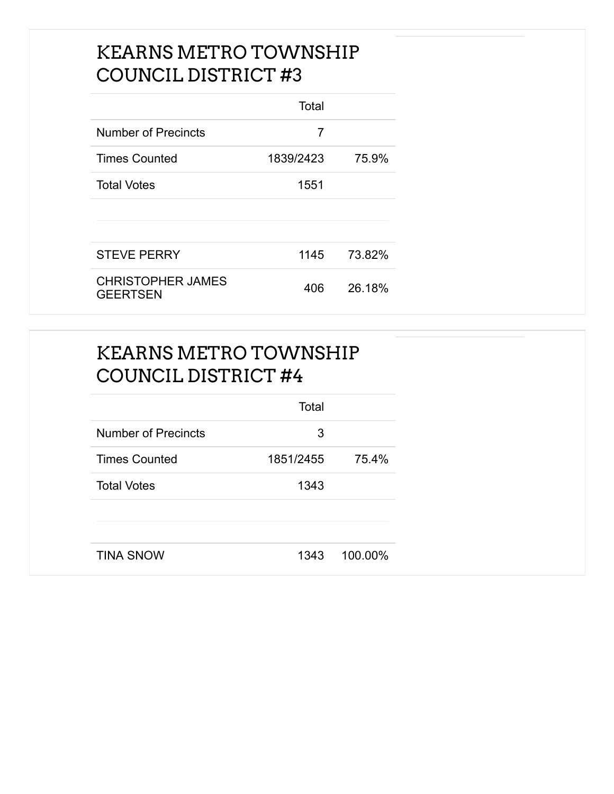#### KEARNS METRO TOWNSHIP COUNCIL DISTRICT #3

|                                             | Total     |        |
|---------------------------------------------|-----------|--------|
| Number of Precincts                         | 7         |        |
| <b>Times Counted</b>                        | 1839/2423 | 75.9%  |
| <b>Total Votes</b>                          | 1551      |        |
|                                             |           |        |
|                                             |           |        |
| <b>STEVE PERRY</b>                          | 1145      | 73.82% |
| <b>CHRISTOPHER JAMES</b><br><b>GEERTSEN</b> | 406       | 26.18% |

### KEARNS METRO TOWNSHIP COUNCIL DISTRICT #4

|                            | Total     |         |
|----------------------------|-----------|---------|
| <b>Number of Precincts</b> | 3         |         |
| <b>Times Counted</b>       | 1851/2455 | 75.4%   |
| <b>Total Votes</b>         | 1343      |         |
|                            |           |         |
|                            |           |         |
| <b>TINA SNOW</b>           | 1343      | 100.00% |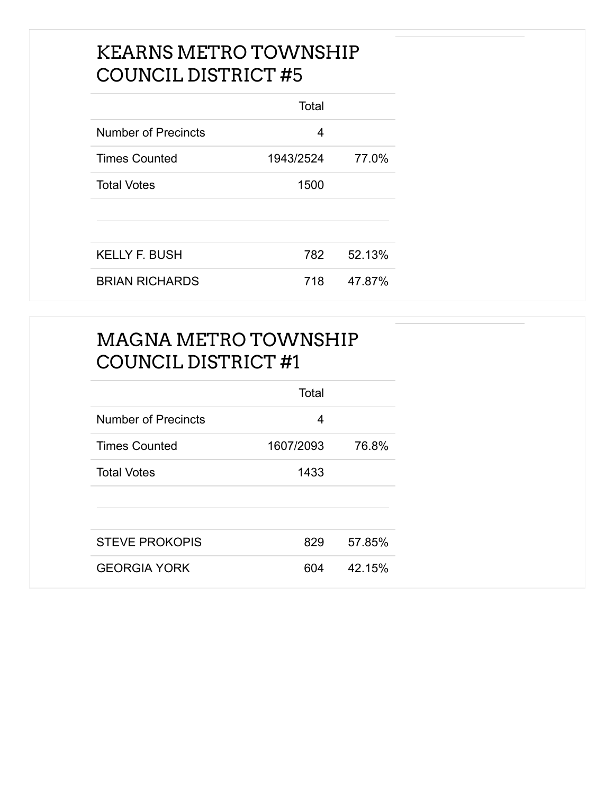#### KEARNS METRO TOWNSHIP COUNCIL DISTRICT #5

|                            | Total     |        |
|----------------------------|-----------|--------|
| <b>Number of Precincts</b> | 4         |        |
| <b>Times Counted</b>       | 1943/2524 | 77.0%  |
| <b>Total Votes</b>         | 1500      |        |
|                            |           |        |
|                            |           |        |
| <b>KELLY F. BUSH</b>       | 782       | 52.13% |
| <b>BRIAN RICHARDS</b>      | 718       | 47.87% |

### MAGNA METRO TOWNSHIP COUNCIL DISTRICT #1

|                       | Total     |        |
|-----------------------|-----------|--------|
| Number of Precincts   | 4         |        |
| <b>Times Counted</b>  | 1607/2093 | 76.8%  |
| <b>Total Votes</b>    | 1433      |        |
|                       |           |        |
|                       |           |        |
| <b>STEVE PROKOPIS</b> | 829       | 57.85% |
| <b>GEORGIA YORK</b>   | 604       | 42.15% |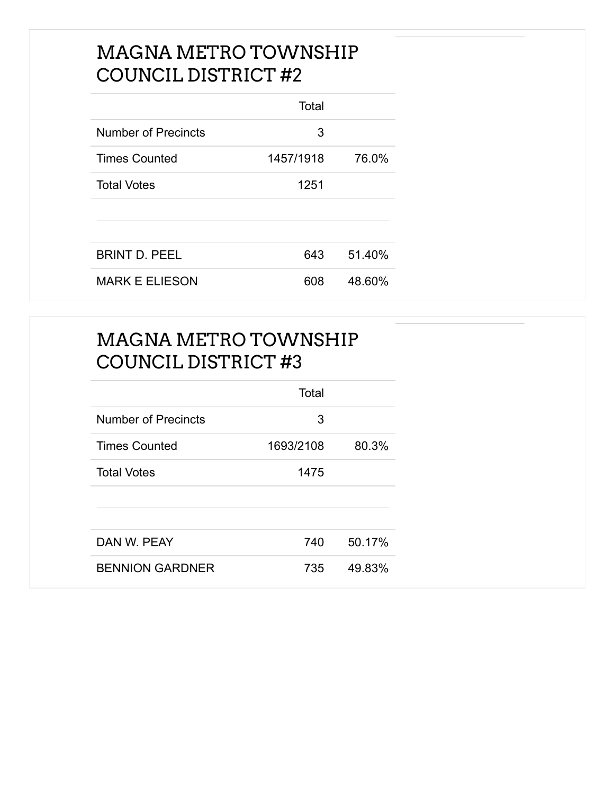#### MAGNA METRO TOWNSHIP COUNCIL DISTRICT #2

|                       | Total     |        |
|-----------------------|-----------|--------|
| Number of Precincts   | 3         |        |
| <b>Times Counted</b>  | 1457/1918 | 76.0%  |
| <b>Total Votes</b>    | 1251      |        |
|                       |           |        |
|                       |           |        |
| <b>BRINT D. PEEL</b>  | 643       | 51.40% |
| <b>MARK E ELIESON</b> | 608       | 48.60% |

### MAGNA METRO TOWNSHIP COUNCIL DISTRICT #3

|                        | Total     |        |
|------------------------|-----------|--------|
| Number of Precincts    | 3         |        |
| <b>Times Counted</b>   | 1693/2108 | 80.3%  |
| <b>Total Votes</b>     | 1475      |        |
|                        |           |        |
| DAN W. PEAY            | 740       | 50.17% |
| <b>BENNION GARDNER</b> | 735       | 49.83% |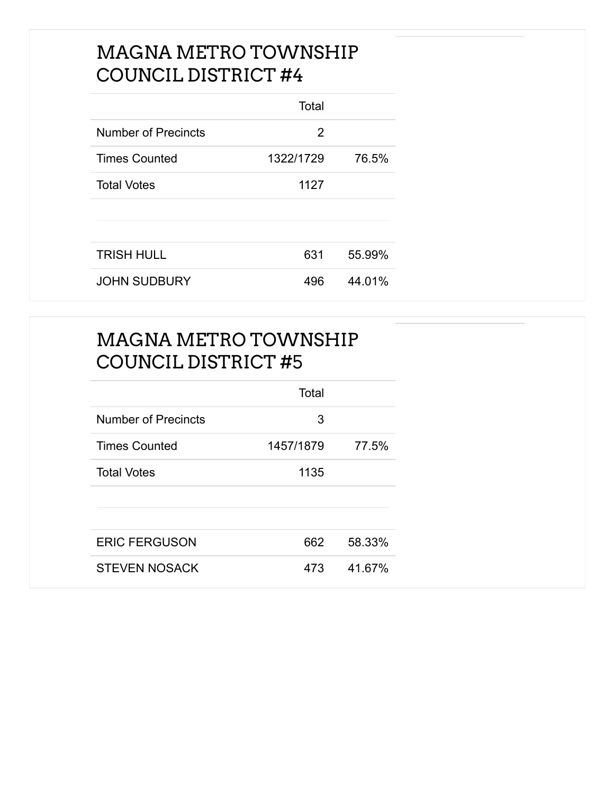#### MAGNA METRO TOWNSHIP COUNCIL DISTRICT #4

|                      | Total     |        |
|----------------------|-----------|--------|
| Number of Precincts  | 2         |        |
| <b>Times Counted</b> | 1322/1729 | 76.5%  |
| <b>Total Votes</b>   | 1127      |        |
|                      |           |        |
|                      |           |        |
| <b>TRISH HULL</b>    | 631       | 55.99% |
| <b>JOHN SUDBURY</b>  | 496       | 44.01% |

### MAGNA METRO TOWNSHIP COUNCIL DISTRICT #5

|                      | Total     |        |
|----------------------|-----------|--------|
| Number of Precincts  | 3         |        |
| <b>Times Counted</b> | 1457/1879 | 77.5%  |
| <b>Total Votes</b>   | 1135      |        |
|                      |           |        |
| <b>ERIC FERGUSON</b> | 662       | 58.33% |
| <b>STEVEN NOSACK</b> | 473       | 41.67% |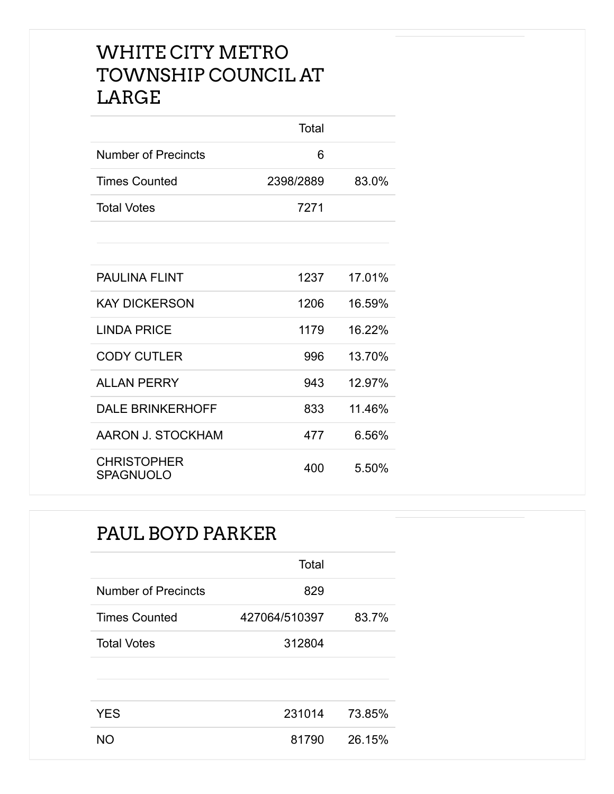#### WHITE CITY METRO TOWNSHIP COUNCIL AT LARGE

|                                        | Total     |        |
|----------------------------------------|-----------|--------|
| <b>Number of Precincts</b>             | 6         |        |
| <b>Times Counted</b>                   | 2398/2889 | 83.0%  |
| <b>Total Votes</b>                     | 7271      |        |
|                                        |           |        |
|                                        |           |        |
| <b>PAULINA FLINT</b>                   | 1237      | 17.01% |
| <b>KAY DICKERSON</b>                   | 1206      | 16.59% |
| <b>LINDA PRICE</b>                     | 1179      | 16.22% |
| <b>CODY CUTLER</b>                     | 996       | 13.70% |
| <b>ALLAN PERRY</b>                     | 943       | 12.97% |
| <b>DALE BRINKERHOFF</b>                | 833       | 11.46% |
| AARON J. STOCKHAM                      | 477       | 6.56%  |
| <b>CHRISTOPHER</b><br><b>SPAGNUOLO</b> | 400       | 5.50%  |

#### PAUL BOYD PARKER

|                            | Total         |        |
|----------------------------|---------------|--------|
| <b>Number of Precincts</b> | 829           |        |
| <b>Times Counted</b>       | 427064/510397 | 83.7%  |
| <b>Total Votes</b>         | 312804        |        |
|                            |               |        |
|                            |               |        |
| <b>YES</b>                 | 231014        | 73.85% |
| NΩ                         | 81790         | 26.15% |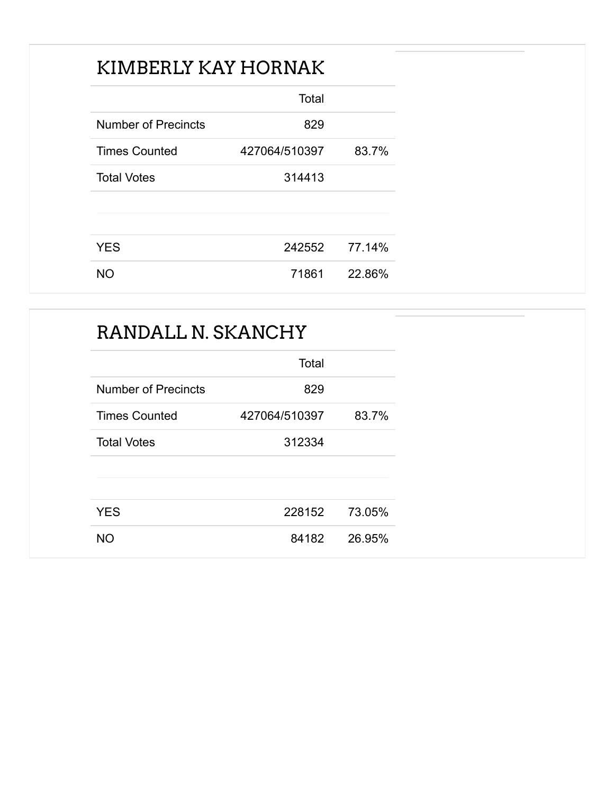### KIMBERLY KAY HORNAK

|                      | Total         |        |
|----------------------|---------------|--------|
| Number of Precincts  | 829           |        |
| <b>Times Counted</b> | 427064/510397 | 83.7%  |
| <b>Total Votes</b>   | 314413        |        |
|                      |               |        |
|                      |               |        |
| <b>YES</b>           | 242552        | 77.14% |
| <b>NO</b>            | 71861         | 22.86% |

| RANDALL N. SKANCHY         |               |        |  |
|----------------------------|---------------|--------|--|
|                            | Total         |        |  |
| <b>Number of Precincts</b> | 829           |        |  |
| <b>Times Counted</b>       | 427064/510397 | 83.7%  |  |
| <b>Total Votes</b>         | 312334        |        |  |
| <b>YES</b>                 | 228152        | 73.05% |  |
| <b>NO</b>                  | 84182         | 26.95% |  |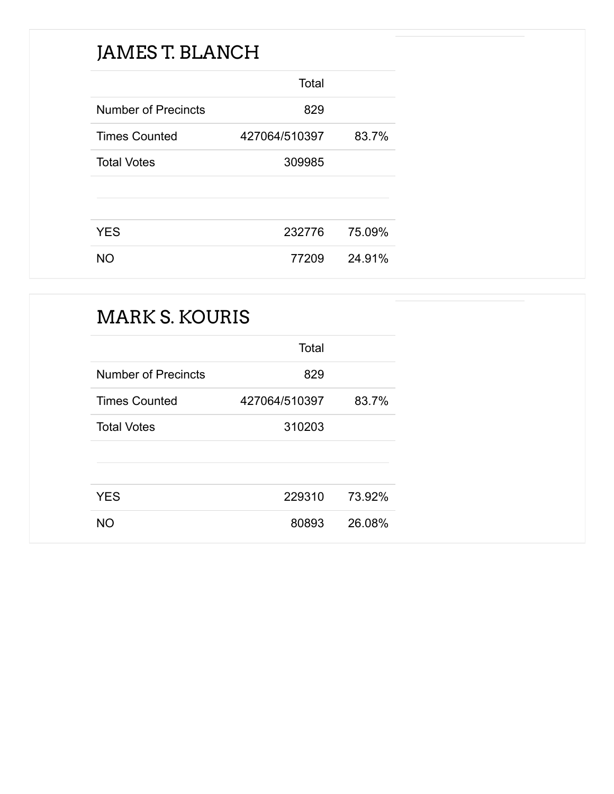### JAMES T. BLANCH

|                            | Total         |        |
|----------------------------|---------------|--------|
| <b>Number of Precincts</b> | 829           |        |
| <b>Times Counted</b>       | 427064/510397 | 83.7%  |
| <b>Total Votes</b>         | 309985        |        |
|                            |               |        |
|                            |               |        |
| <b>YES</b>                 | 232776        | 75.09% |
| NO.                        | 77209         | 24.91% |

### MARK S. KOURIS

|                            | Total         |        |
|----------------------------|---------------|--------|
| <b>Number of Precincts</b> | 829           |        |
| <b>Times Counted</b>       | 427064/510397 | 83.7%  |
| <b>Total Votes</b>         | 310203        |        |
|                            |               |        |
|                            |               |        |
| <b>YES</b>                 | 229310        | 73.92% |
| NΟ                         | 80893         | 26.08% |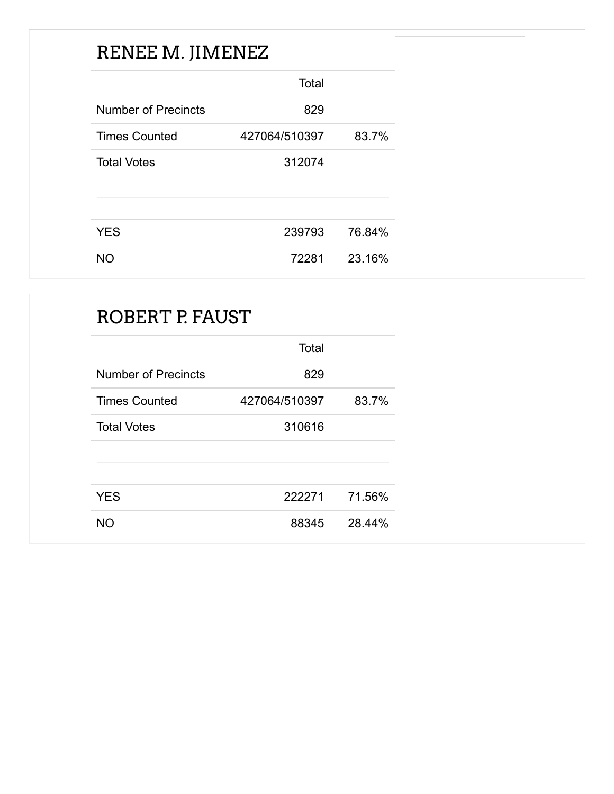### RENEE M. JIMENEZ

|                            | Total         |        |
|----------------------------|---------------|--------|
| <b>Number of Precincts</b> | 829           |        |
| <b>Times Counted</b>       | 427064/510397 | 83.7%  |
| <b>Total Votes</b>         | 312074        |        |
|                            |               |        |
|                            |               |        |
| <b>YES</b>                 | 239793        | 76.84% |
| NO.                        | 72281         | 23.16% |

| ROBERT P. FAUST            |               |        |
|----------------------------|---------------|--------|
|                            | Total         |        |
| <b>Number of Precincts</b> | 829           |        |
| <b>Times Counted</b>       | 427064/510397 | 83.7%  |
| <b>Total Votes</b>         | 310616        |        |
| <b>YES</b>                 | 222271        | 71.56% |
| <b>NO</b>                  | 88345         | 28.44% |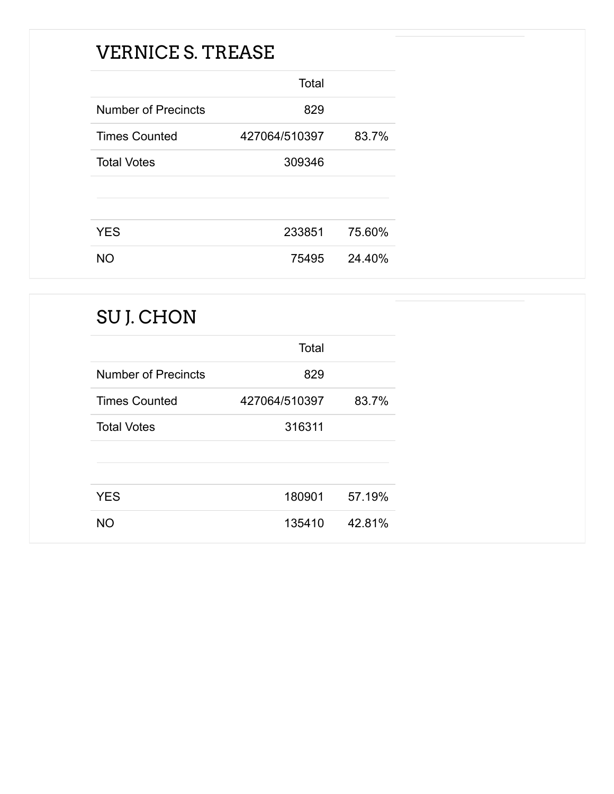### VERNICE S. TREASE

|                            | Total         |        |
|----------------------------|---------------|--------|
| <b>Number of Precincts</b> | 829           |        |
| <b>Times Counted</b>       | 427064/510397 | 83.7%  |
| <b>Total Votes</b>         | 309346        |        |
|                            |               |        |
|                            |               |        |
| <b>YES</b>                 | 233851        | 75.60% |
| <b>NO</b>                  | 75495         | 24.40% |

| SU J. CHON                 |               |        |
|----------------------------|---------------|--------|
|                            | Total         |        |
| <b>Number of Precincts</b> | 829           |        |
| <b>Times Counted</b>       | 427064/510397 | 83.7%  |
| <b>Total Votes</b>         | 316311        |        |
| <b>YES</b>                 | 180901        | 57.19% |
| <b>NO</b>                  | 135410        | 42.81% |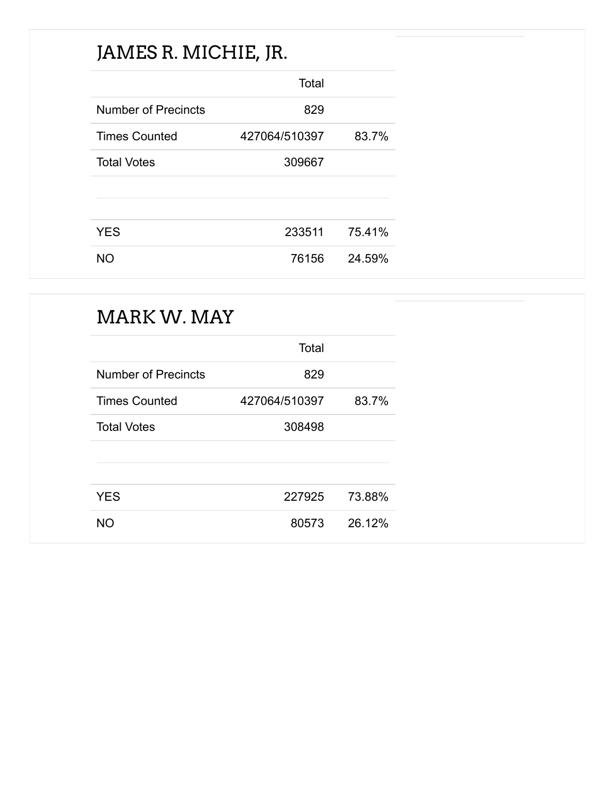# JAMES R. MICHIE, JR.

|                            | Total         |        |
|----------------------------|---------------|--------|
| <b>Number of Precincts</b> | 829           |        |
| <b>Times Counted</b>       | 427064/510397 | 83.7%  |
| <b>Total Votes</b>         | 309667        |        |
|                            |               |        |
|                            |               |        |
| <b>YES</b>                 | 233511        | 75.41% |
| <b>NO</b>                  | 76156         | 24.59% |

### MARK W. MAY

|                            | Total         |        |
|----------------------------|---------------|--------|
| <b>Number of Precincts</b> | 829           |        |
| <b>Times Counted</b>       | 427064/510397 | 83.7%  |
| <b>Total Votes</b>         | 308498        |        |
|                            |               |        |
|                            |               |        |
| <b>YES</b>                 | 227925        | 73.88% |
| NΟ                         | 80573         | 26.12% |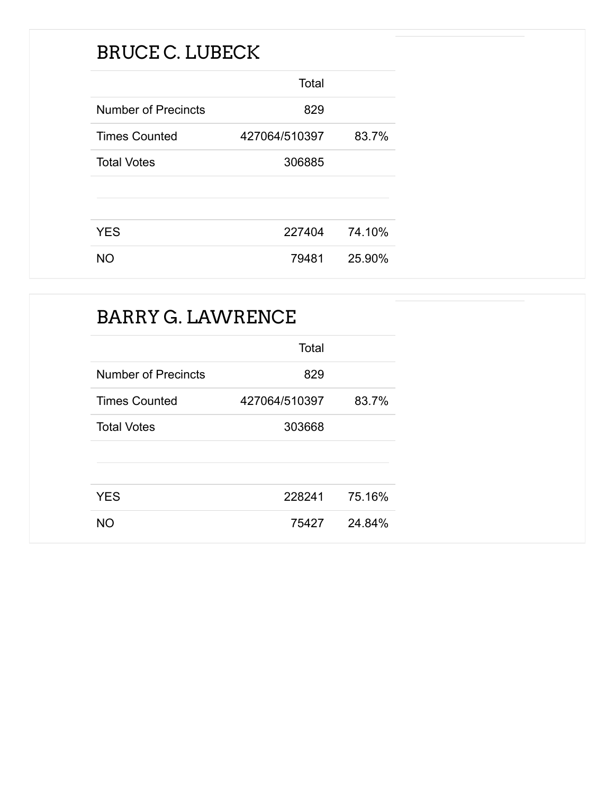### BRUCE C. LUBECK

|                            | Total         |        |
|----------------------------|---------------|--------|
| <b>Number of Precincts</b> | 829           |        |
| <b>Times Counted</b>       | 427064/510397 | 83.7%  |
| <b>Total Votes</b>         | 306885        |        |
|                            |               |        |
|                            |               |        |
| <b>YES</b>                 | 227404        | 74.10% |
| NO.                        | 79481         | 25.90% |

### BARRY G. LAWRENCE

|                            | Total         |        |
|----------------------------|---------------|--------|
| <b>Number of Precincts</b> | 829           |        |
| <b>Times Counted</b>       | 427064/510397 | 83.7%  |
| <b>Total Votes</b>         | 303668        |        |
|                            |               |        |
|                            |               |        |
| <b>YES</b>                 | 228241        | 75.16% |
| NΟ                         | 75427         | 24.84% |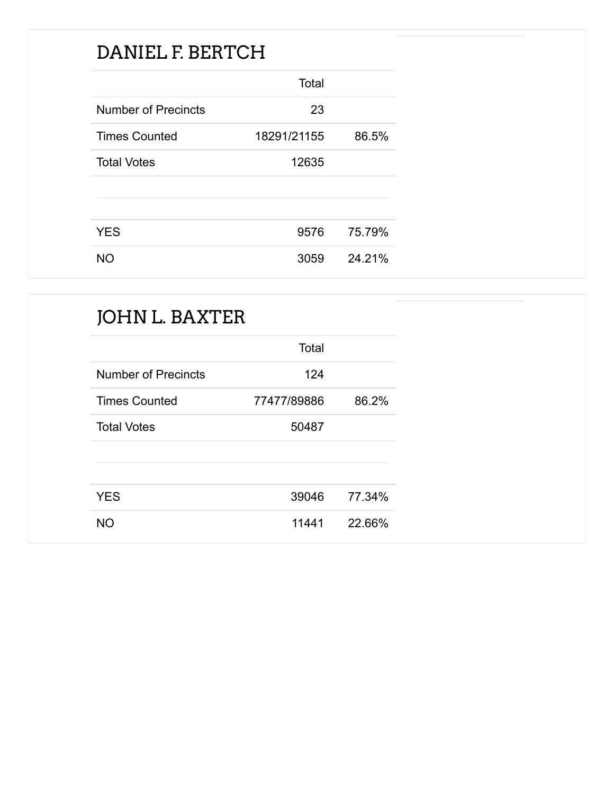### DANIEL F. BERTCH

|                            | Total       |        |
|----------------------------|-------------|--------|
| <b>Number of Precincts</b> | 23          |        |
| <b>Times Counted</b>       | 18291/21155 | 86.5%  |
| <b>Total Votes</b>         | 12635       |        |
|                            |             |        |
|                            |             |        |
| <b>YES</b>                 | 9576        | 75.79% |
| NO.                        | 3059        | 24.21% |

### JOHN L. BAXTER

|                            | Total       |        |
|----------------------------|-------------|--------|
| <b>Number of Precincts</b> | 124         |        |
| <b>Times Counted</b>       | 77477/89886 | 86.2%  |
| <b>Total Votes</b>         | 50487       |        |
|                            |             |        |
|                            |             |        |
| <b>YES</b>                 | 39046       | 77.34% |
| NO.                        | 11441       | 22.66% |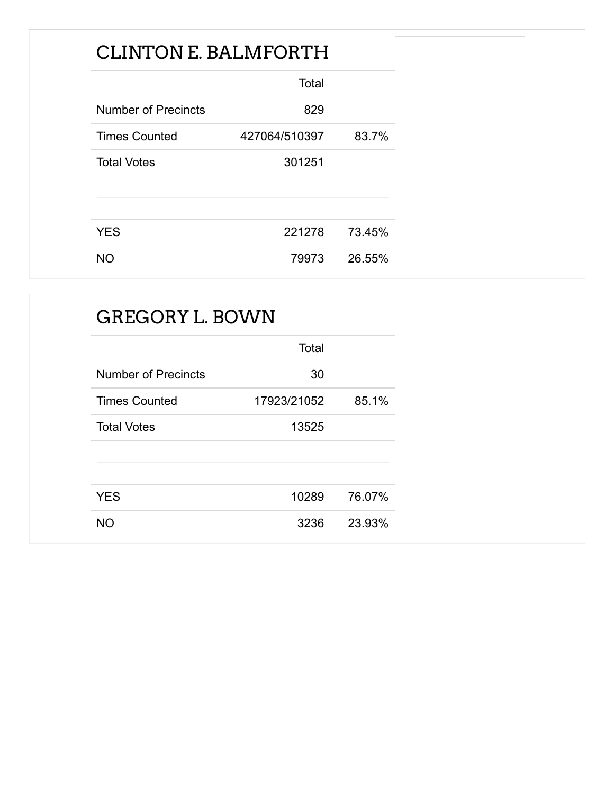### CLINTON E. BALMFORTH

|                            | Total         |        |
|----------------------------|---------------|--------|
| <b>Number of Precincts</b> | 829           |        |
| <b>Times Counted</b>       | 427064/510397 | 83.7%  |
| <b>Total Votes</b>         | 301251        |        |
|                            |               |        |
|                            |               |        |
| <b>YES</b>                 | 221278        | 73.45% |
| <b>NO</b>                  | 79973         | 26.55% |

| <b>GREGORY L. BOWN</b>     |             |        |
|----------------------------|-------------|--------|
|                            | Total       |        |
| <b>Number of Precincts</b> | 30          |        |
| <b>Times Counted</b>       | 17923/21052 | 85.1%  |
| <b>Total Votes</b>         | 13525       |        |
|                            |             |        |
| <b>YES</b>                 | 10289       | 76.07% |
| <b>NO</b>                  | 3236        | 23.93% |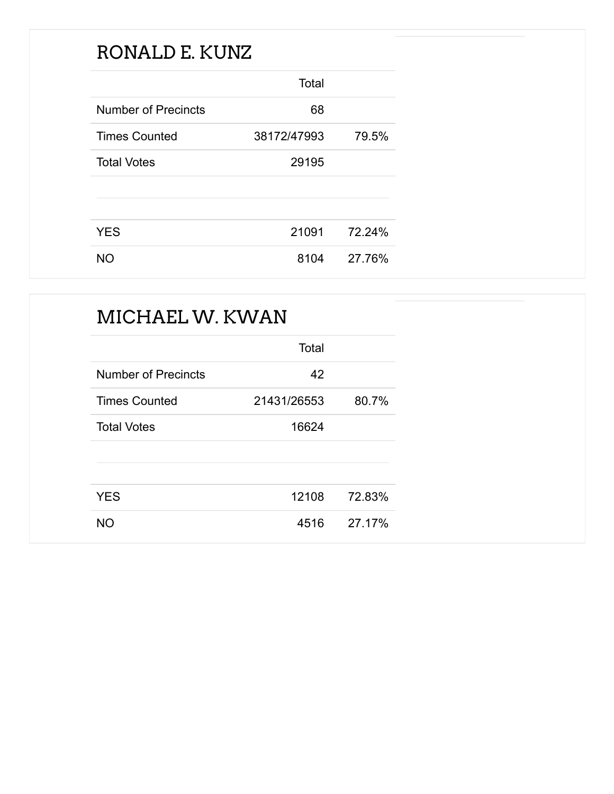### RONALD E. KUNZ

|                            | Total       |        |
|----------------------------|-------------|--------|
| <b>Number of Precincts</b> | 68          |        |
| <b>Times Counted</b>       | 38172/47993 | 79.5%  |
| <b>Total Votes</b>         | 29195       |        |
|                            |             |        |
|                            |             |        |
| <b>YES</b>                 | 21091       | 72.24% |
| NO.                        | 8104        | 27.76% |

# MICHAEL W. KWAN

|                            | Total       |        |
|----------------------------|-------------|--------|
| <b>Number of Precincts</b> | 42          |        |
| <b>Times Counted</b>       | 21431/26553 | 80.7%  |
| <b>Total Votes</b>         | 16624       |        |
|                            |             |        |
|                            |             |        |
| <b>YES</b>                 | 12108       | 72.83% |
| NΟ                         | 4516        | 27.17% |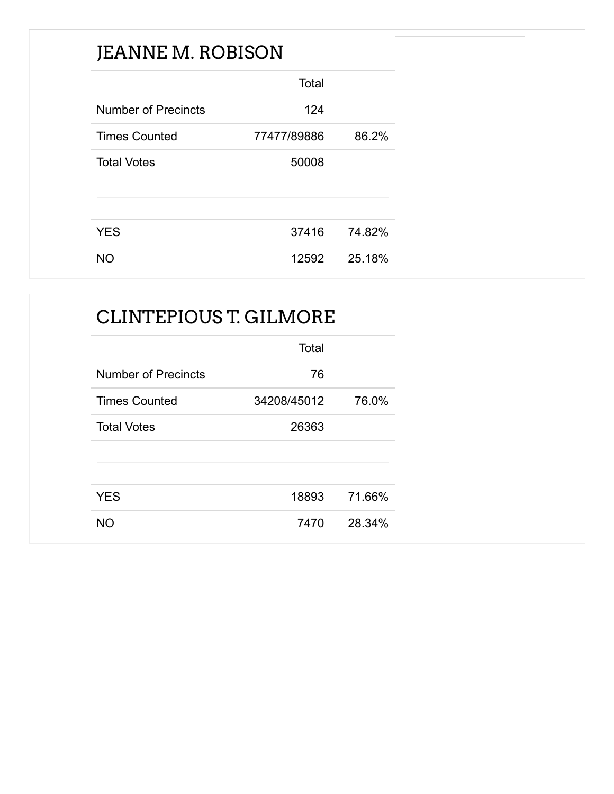### JEANNE M. ROBISON

|                            | Total       |        |
|----------------------------|-------------|--------|
| <b>Number of Precincts</b> | 124         |        |
| <b>Times Counted</b>       | 77477/89886 | 86.2%  |
| <b>Total Votes</b>         | 50008       |        |
|                            |             |        |
|                            |             |        |
| <b>YES</b>                 | 37416       | 74.82% |
| NΟ                         | 12592       | 25.18% |

### CLINTEPIOUS T. GILMORE

|                            | Total       |        |
|----------------------------|-------------|--------|
| <b>Number of Precincts</b> | 76          |        |
| <b>Times Counted</b>       | 34208/45012 | 76.0%  |
| <b>Total Votes</b>         | 26363       |        |
|                            |             |        |
|                            |             |        |
| <b>YES</b>                 | 18893       | 71.66% |
| NΟ                         | 7470        | 28.34% |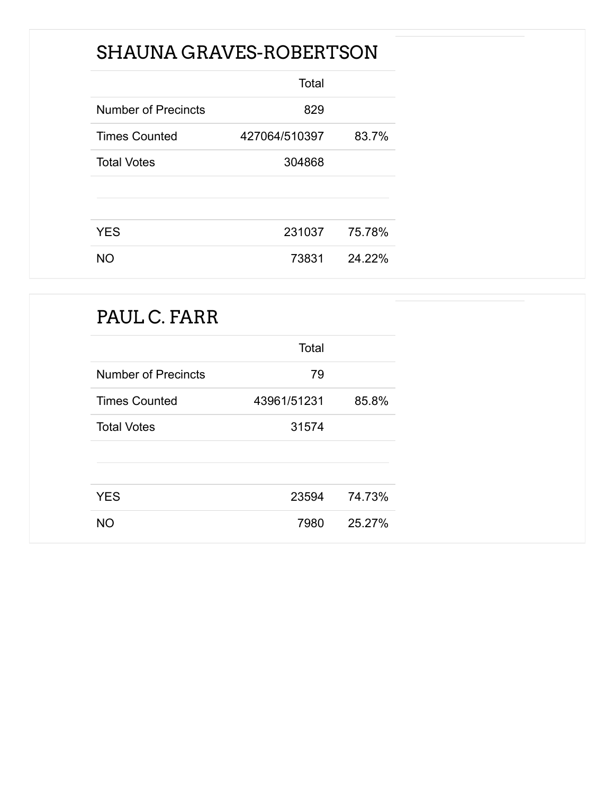### SHAUNA GRAVES-ROBERTSON

|                            | Total         |        |
|----------------------------|---------------|--------|
| <b>Number of Precincts</b> | 829           |        |
| <b>Times Counted</b>       | 427064/510397 | 83.7%  |
| <b>Total Votes</b>         | 304868        |        |
|                            |               |        |
|                            |               |        |
| <b>YES</b>                 | 231037        | 75.78% |
| NO.                        | 73831         | 24.22% |

### PAUL C. FARR

|                            | Total       |        |
|----------------------------|-------------|--------|
| <b>Number of Precincts</b> | 79          |        |
| <b>Times Counted</b>       | 43961/51231 | 85.8%  |
| <b>Total Votes</b>         | 31574       |        |
|                            |             |        |
|                            |             |        |
| <b>YES</b>                 | 23594       | 74.73% |
| <b>NO</b>                  | 7980        | 25.27% |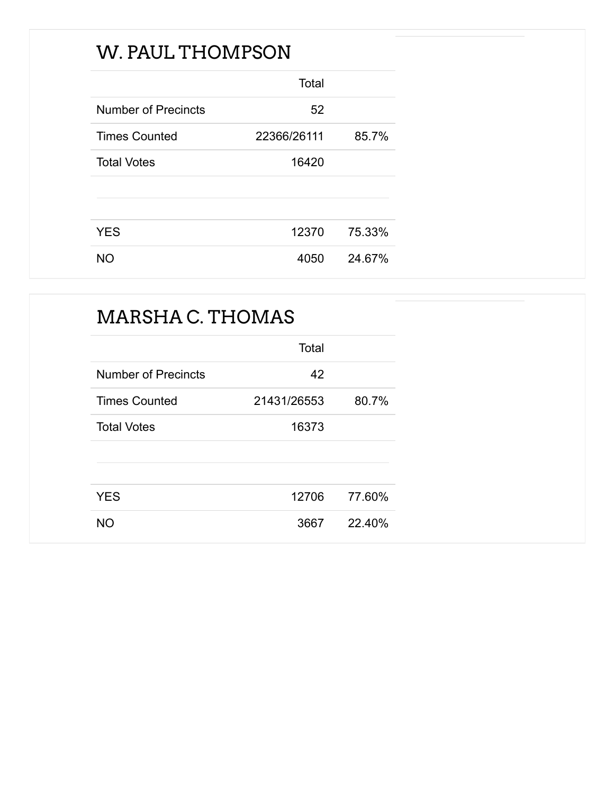### W. PAUL THOMPSON

|                            | Total       |        |
|----------------------------|-------------|--------|
| <b>Number of Precincts</b> | 52          |        |
| <b>Times Counted</b>       | 22366/26111 | 85.7%  |
| <b>Total Votes</b>         | 16420       |        |
|                            |             |        |
|                            |             |        |
| <b>YES</b>                 | 12370       | 75.33% |
| NΟ                         | 4050        | 24.67% |

# MARSHA C. THOMAS Total Number of Precincts 42 Times Counted 21431/26553 80.7% Total Votes 16373 YES 12706 77.60% NO 3667 22.40%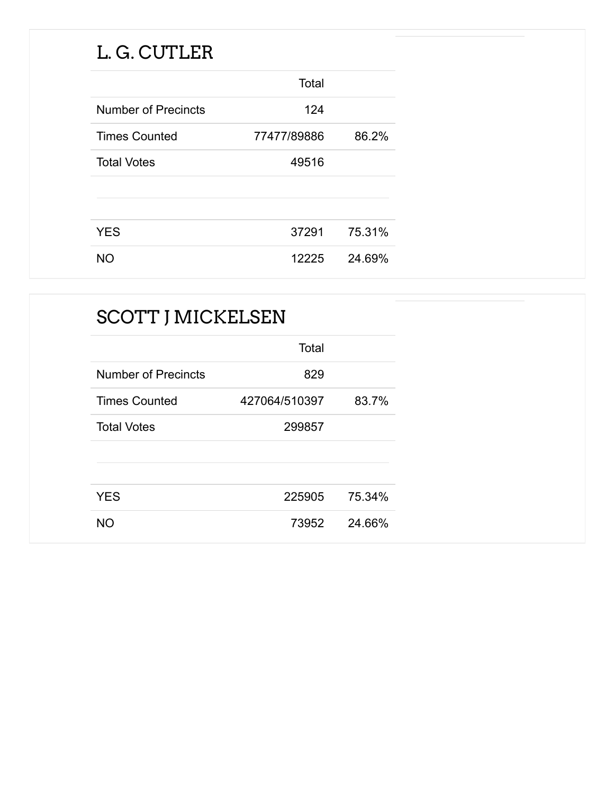### L. G. CUTLER

|                            | Total       |        |
|----------------------------|-------------|--------|
| <b>Number of Precincts</b> | 124         |        |
| <b>Times Counted</b>       | 77477/89886 | 86.2%  |
| <b>Total Votes</b>         | 49516       |        |
|                            |             |        |
|                            |             |        |
| <b>YES</b>                 | 37291       | 75.31% |
| NΟ                         | 12225       | 24.69% |

| <b>SCOTT J MICKELSEN</b>   |               |        |
|----------------------------|---------------|--------|
|                            | Total         |        |
| <b>Number of Precincts</b> | 829           |        |
| <b>Times Counted</b>       | 427064/510397 | 83.7%  |
| <b>Total Votes</b>         | 299857        |        |
|                            |               |        |
| <b>YES</b>                 | 225905        | 75.34% |
| <b>NO</b>                  | 73952         | 24.66% |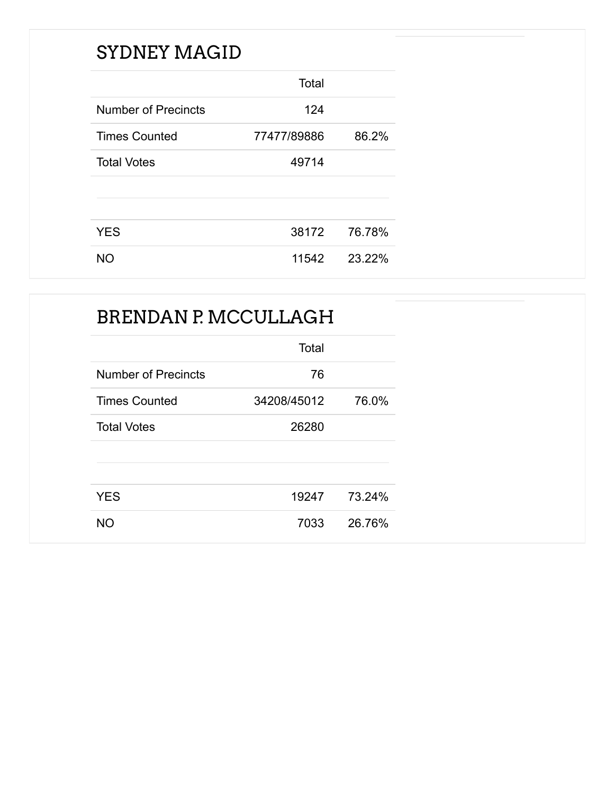### SYDNEY MAGID

|                            | Total       |        |
|----------------------------|-------------|--------|
| <b>Number of Precincts</b> | 124         |        |
| <b>Times Counted</b>       | 77477/89886 | 86.2%  |
| <b>Total Votes</b>         | 49714       |        |
|                            |             |        |
|                            |             |        |
| <b>YES</b>                 | 38172       | 76.78% |
| NΟ                         | 11542       | 23.22% |

### BRENDAN P. MCCULLAGH

|                            | Total       |        |
|----------------------------|-------------|--------|
| <b>Number of Precincts</b> | 76          |        |
| <b>Times Counted</b>       | 34208/45012 | 76.0%  |
| <b>Total Votes</b>         | 26280       |        |
|                            |             |        |
|                            |             |        |
| <b>YES</b>                 | 19247       | 73.24% |
| NΟ                         | 7033        | 26.76% |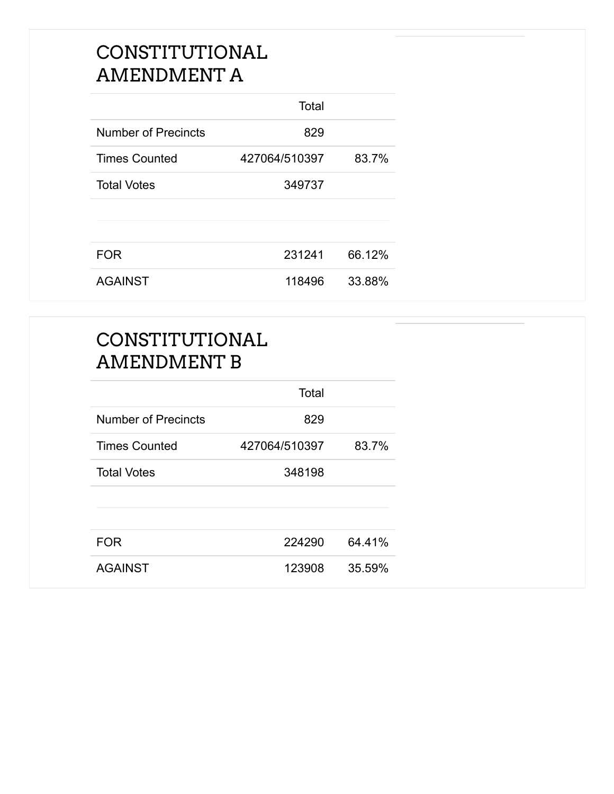#### CONSTITUTIONAL AMENDMENT A

|                            | Total         |        |
|----------------------------|---------------|--------|
| <b>Number of Precincts</b> | 829           |        |
| <b>Times Counted</b>       | 427064/510397 | 83.7%  |
| <b>Total Votes</b>         | 349737        |        |
|                            |               |        |
| <b>FOR</b>                 | 231241        | 66.12% |
| <b>AGAINST</b>             | 118496        | 33.88% |

#### CONSTITUTIONAL AMENDMENT B

|                            | Total         |        |
|----------------------------|---------------|--------|
| <b>Number of Precincts</b> | 829           |        |
| <b>Times Counted</b>       | 427064/510397 | 83.7%  |
| <b>Total Votes</b>         | 348198        |        |
|                            |               |        |
|                            |               |        |
| <b>FOR</b>                 | 224290        | 64.41% |
| <b>AGAINST</b>             | 123908        | 35.59% |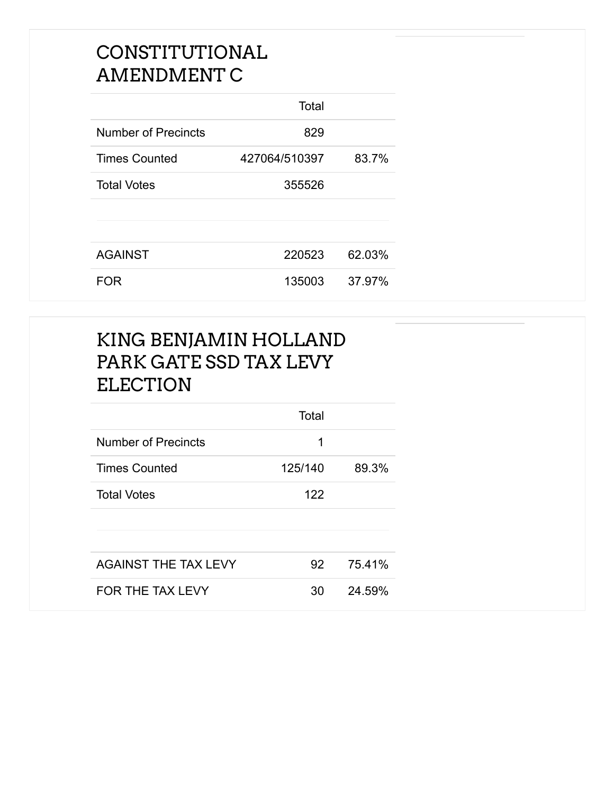#### CONSTITUTIONAL AMENDMENT C

|                            | Total         |        |
|----------------------------|---------------|--------|
| <b>Number of Precincts</b> | 829           |        |
| <b>Times Counted</b>       | 427064/510397 | 83.7%  |
| <b>Total Votes</b>         | 355526        |        |
|                            |               |        |
|                            |               |        |
| <b>AGAINST</b>             | 220523        | 62.03% |
| <b>FOR</b>                 | 135003        | 37.97% |

#### KING BENJAMIN HOLLAND PARK GATE SSD TAX LEVY ELECTION

|                             | Total   |        |
|-----------------------------|---------|--------|
| <b>Number of Precincts</b>  | 1       |        |
| <b>Times Counted</b>        | 125/140 | 89.3%  |
| <b>Total Votes</b>          | 122     |        |
|                             |         |        |
|                             |         |        |
| <b>AGAINST THE TAX LEVY</b> | 92      | 75.41% |
| FOR THE TAX LEVY            | 30      | 24.59% |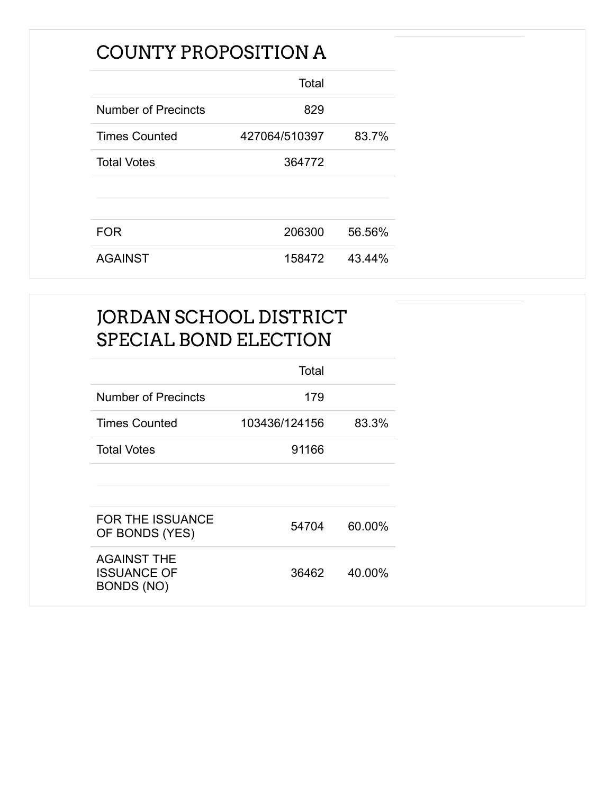### COUNTY PROPOSITION A

|                      | Total         |        |
|----------------------|---------------|--------|
| Number of Precincts  | 829           |        |
| <b>Times Counted</b> | 427064/510397 | 83.7%  |
| <b>Total Votes</b>   | 364772        |        |
|                      |               |        |
|                      |               |        |
| <b>FOR</b>           | 206300        | 56.56% |
| <b>AGAINST</b>       | 158472        | 43.44% |

#### JORDAN SCHOOL DISTRICT SPECIAL BOND ELECTION

|                                                               | Total         |        |
|---------------------------------------------------------------|---------------|--------|
| Number of Precincts                                           | 179           |        |
| <b>Times Counted</b>                                          | 103436/124156 | 83.3%  |
| <b>Total Votes</b>                                            | 91166         |        |
|                                                               |               |        |
|                                                               |               |        |
| <b>FOR THE ISSUANCE</b><br>OF BONDS (YES)                     | 54704         | 60.00% |
| <b>AGAINST THE</b><br><b>ISSUANCE OF</b><br><b>BONDS (NO)</b> | 36462         | 40.00% |